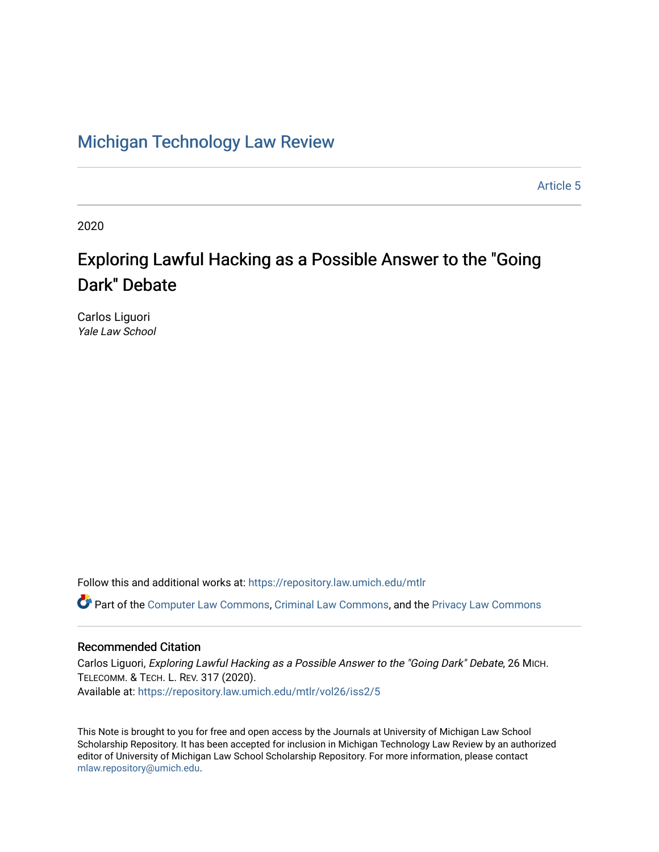# [Michigan Technology Law Review](https://repository.law.umich.edu/mtlr)

[Article 5](https://repository.law.umich.edu/mtlr/vol26/iss2/5) 

2020

# Exploring Lawful Hacking as a Possible Answer to the "Going Dark" Debate

Carlos Liguori Yale Law School

Follow this and additional works at: [https://repository.law.umich.edu/mtlr](https://repository.law.umich.edu/mtlr?utm_source=repository.law.umich.edu%2Fmtlr%2Fvol26%2Fiss2%2F5&utm_medium=PDF&utm_campaign=PDFCoverPages) 

Part of the [Computer Law Commons,](http://network.bepress.com/hgg/discipline/837?utm_source=repository.law.umich.edu%2Fmtlr%2Fvol26%2Fiss2%2F5&utm_medium=PDF&utm_campaign=PDFCoverPages) [Criminal Law Commons](http://network.bepress.com/hgg/discipline/912?utm_source=repository.law.umich.edu%2Fmtlr%2Fvol26%2Fiss2%2F5&utm_medium=PDF&utm_campaign=PDFCoverPages), and the [Privacy Law Commons](http://network.bepress.com/hgg/discipline/1234?utm_source=repository.law.umich.edu%2Fmtlr%2Fvol26%2Fiss2%2F5&utm_medium=PDF&utm_campaign=PDFCoverPages)

# Recommended Citation

Carlos Liguori, Exploring Lawful Hacking as a Possible Answer to the "Going Dark" Debate, 26 MICH. TELECOMM. & TECH. L. REV. 317 (2020). Available at: [https://repository.law.umich.edu/mtlr/vol26/iss2/5](https://repository.law.umich.edu/mtlr/vol26/iss2/5?utm_source=repository.law.umich.edu%2Fmtlr%2Fvol26%2Fiss2%2F5&utm_medium=PDF&utm_campaign=PDFCoverPages) 

This Note is brought to you for free and open access by the Journals at University of Michigan Law School Scholarship Repository. It has been accepted for inclusion in Michigan Technology Law Review by an authorized editor of University of Michigan Law School Scholarship Repository. For more information, please contact [mlaw.repository@umich.edu.](mailto:mlaw.repository@umich.edu)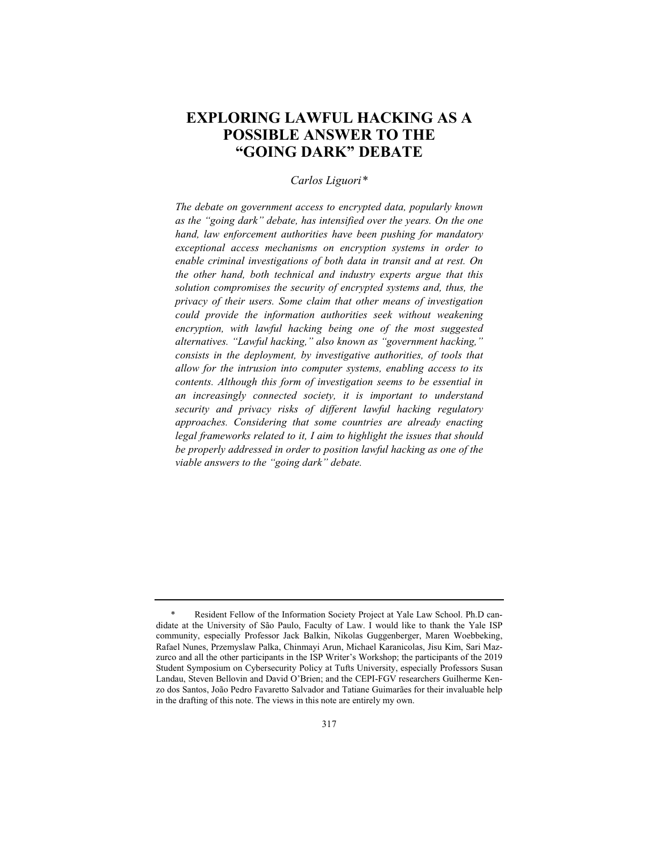# **EXPLORING LAWFUL HACKING AS A POSSIBLE ANSWER TO THE "GOING DARK" DEBATE**

# *Carlos Liguori\**

*The debate on government access to encrypted data, popularly known as the "going dark" debate, has intensified over the years. On the one hand, law enforcement authorities have been pushing for mandatory exceptional access mechanisms on encryption systems in order to enable criminal investigations of both data in transit and at rest. On the other hand, both technical and industry experts argue that this solution compromises the security of encrypted systems and, thus, the privacy of their users. Some claim that other means of investigation could provide the information authorities seek without weakening encryption, with lawful hacking being one of the most suggested alternatives. "Lawful hacking," also known as "government hacking," consists in the deployment, by investigative authorities, of tools that allow for the intrusion into computer systems, enabling access to its contents. Although this form of investigation seems to be essential in an increasingly connected society, it is important to understand security and privacy risks of different lawful hacking regulatory approaches. Considering that some countries are already enacting legal frameworks related to it, I aim to highlight the issues that should be properly addressed in order to position lawful hacking as one of the viable answers to the "going dark" debate.*

<sup>\*</sup> Resident Fellow of the Information Society Project at Yale Law School. Ph.D candidate at the University of São Paulo, Faculty of Law. I would like to thank the Yale ISP community, especially Professor Jack Balkin, Nikolas Guggenberger, Maren Woebbeking, Rafael Nunes, Przemyslaw Palka, Chinmayi Arun, Michael Karanicolas, Jisu Kim, Sari Mazzurco and all the other participants in the ISP Writer's Workshop; the participants of the 2019 Student Symposium on Cybersecurity Policy at Tufts University, especially Professors Susan Landau, Steven Bellovin and David O'Brien; and the CEPI-FGV researchers Guilherme Kenzo dos Santos, João Pedro Favaretto Salvador and Tatiane Guimarães for their invaluable help in the drafting of this note. The views in this note are entirely my own.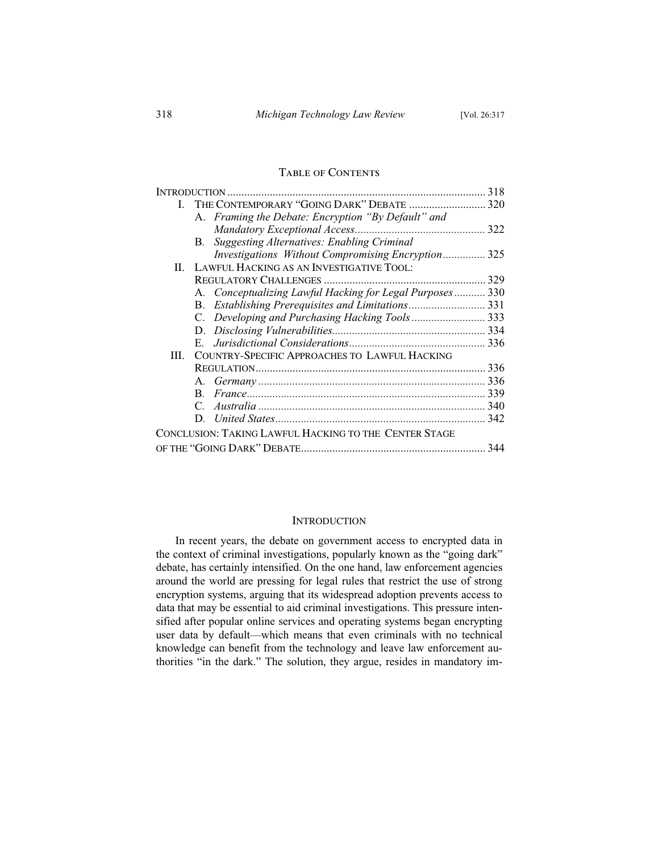# Table of Contents

|              |                                                           | 318 |
|--------------|-----------------------------------------------------------|-----|
| $\mathbf{L}$ |                                                           |     |
|              | A. Framing the Debate: Encryption "By Default" and        |     |
|              |                                                           |     |
|              | <b>Suggesting Alternatives: Enabling Criminal</b><br>В.   |     |
|              | <i>Investigations Without Compromising Encryption</i> 325 |     |
| $\Pi$ .      | LAWFUL HACKING AS AN INVESTIGATIVE TOOL:                  |     |
|              |                                                           |     |
|              | A. Conceptualizing Lawful Hacking for Legal Purposes 330  |     |
|              | B.                                                        |     |
|              | C. Developing and Purchasing Hacking Tools 333            |     |
|              |                                                           |     |
|              |                                                           |     |
| III.         | COUNTRY-SPECIFIC APPROACHES TO LAWFUL HACKING             |     |
|              |                                                           |     |
|              |                                                           |     |
|              |                                                           |     |
|              |                                                           |     |
|              |                                                           |     |
|              | CONCLUSION: TAKING LAWFUL HACKING TO THE CENTER STAGE     |     |
|              |                                                           |     |
|              |                                                           |     |

# **INTRODUCTION**

In recent years, the debate on government access to encrypted data in the context of criminal investigations, popularly known as the "going dark" debate, has certainly intensified. On the one hand, law enforcement agencies around the world are pressing for legal rules that restrict the use of strong encryption systems, arguing that its widespread adoption prevents access to data that may be essential to aid criminal investigations. This pressure intensified after popular online services and operating systems began encrypting user data by default—which means that even criminals with no technical knowledge can benefit from the technology and leave law enforcement authorities "in the dark." The solution, they argue, resides in mandatory im-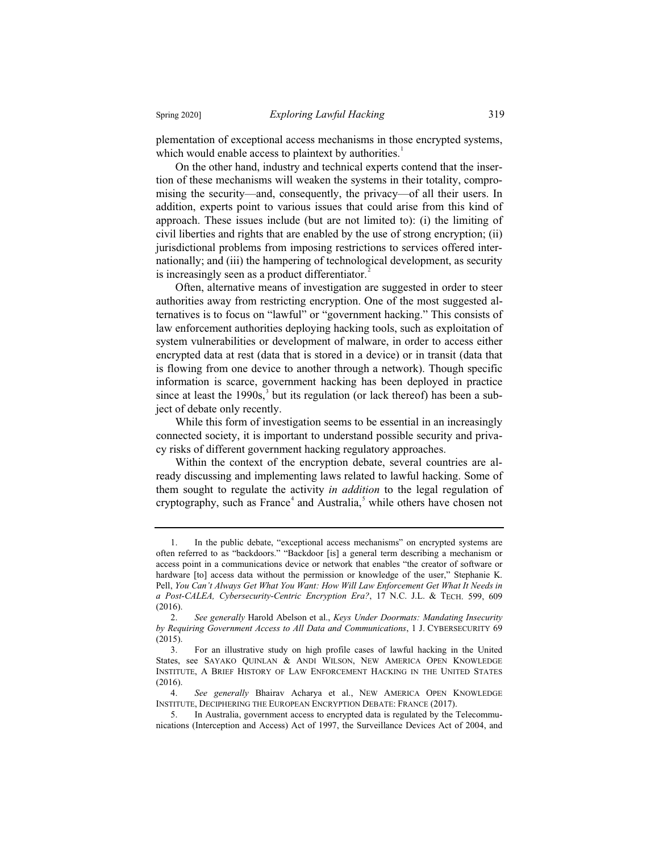plementation of exceptional access mechanisms in those encrypted systems, which would enable access to plaintext by authorities.<sup>1</sup>

On the other hand, industry and technical experts contend that the insertion of these mechanisms will weaken the systems in their totality, compromising the security—and, consequently, the privacy—of all their users. In addition, experts point to various issues that could arise from this kind of approach. These issues include (but are not limited to): (i) the limiting of civil liberties and rights that are enabled by the use of strong encryption; (ii) jurisdictional problems from imposing restrictions to services offered internationally; and (iii) the hampering of technological development, as security is increasingly seen as a product differentiator.<sup>2</sup>

Often, alternative means of investigation are suggested in order to steer authorities away from restricting encryption. One of the most suggested alternatives is to focus on "lawful" or "government hacking." This consists of law enforcement authorities deploying hacking tools, such as exploitation of system vulnerabilities or development of malware, in order to access either encrypted data at rest (data that is stored in a device) or in transit (data that is flowing from one device to another through a network). Though specific information is scarce, government hacking has been deployed in practice since at least the  $1990s$ ,<sup>3</sup> but its regulation (or lack thereof) has been a subject of debate only recently.

While this form of investigation seems to be essential in an increasingly connected society, it is important to understand possible security and privacy risks of different government hacking regulatory approaches.

Within the context of the encryption debate, several countries are already discussing and implementing laws related to lawful hacking. Some of them sought to regulate the activity *in addition* to the legal regulation of cryptography, such as France<sup>4</sup> and Australia,<sup>5</sup> while others have chosen not

<sup>1.</sup> In the public debate, "exceptional access mechanisms" on encrypted systems are often referred to as "backdoors." "Backdoor [is] a general term describing a mechanism or access point in a communications device or network that enables "the creator of software or hardware [to] access data without the permission or knowledge of the user," Stephanie K. Pell, You Can't Always Get What You Want: How Will Law Enforcement Get What It Needs in *a Post-CALEA, Cybersecurity-Centric Encryption Era?*, 17 N.C. J.L. & TECH. 599, 609 (2016).

<sup>2.</sup> *See generally* Harold Abelson et al., *Keys Under Doormats: Mandating Insecurity by Requiring Government Access to All Data and Communications*, 1 J. CYBERSECURITY 69  $\frac{(2015)}{3}$ .

<sup>3.</sup> For an illustrative study on high profile cases of lawful hacking in the United States, see SAYAKO QUINLAN & ANDI WILSON, NEW AMERICA OPEN KNOWLEDGE INSTITUTE,ABRIEF HISTORY OF LAW ENFORCEMENT HACKING IN THE UNITED STATES (2016).

<sup>4.</sup> *See generally* Bhairav Acharya et al., NEW AMERICA OPEN KNOWLEDGE INSTITUTE, DECIPHERING THE EUROPEAN ENCRYPTION DEBATE: FRANCE (2017).

<sup>5.</sup> In Australia, government access to encrypted data is regulated by the Telecommunications (Interception and Access) Act of 1997, the Surveillance Devices Act of 2004, and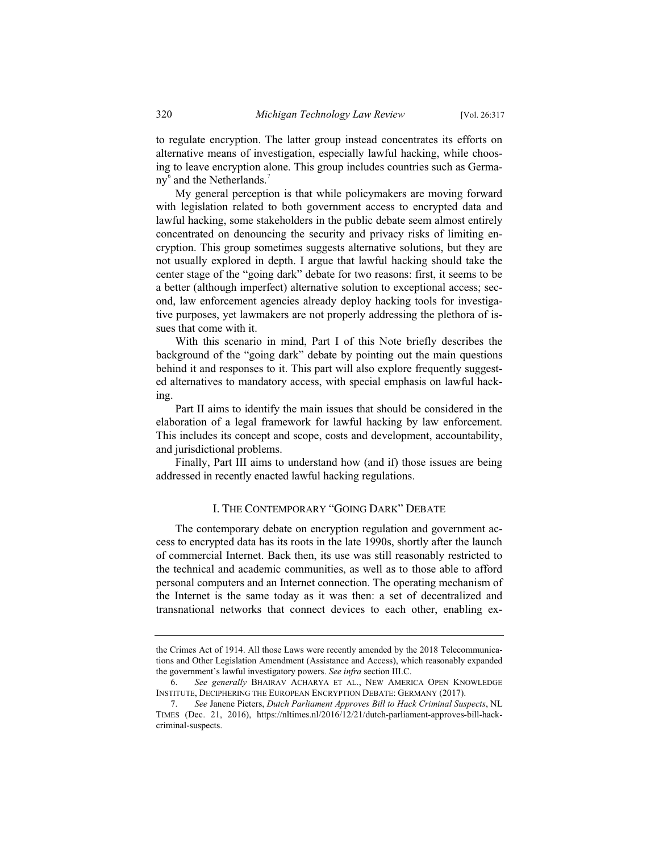to regulate encryption. The latter group instead concentrates its efforts on alternative means of investigation, especially lawful hacking, while choosing to leave encryption alone. This group includes countries such as Germany<sup>6</sup> and the Netherlands.<sup>7</sup>

My general perception is that while policymakers are moving forward with legislation related to both government access to encrypted data and lawful hacking, some stakeholders in the public debate seem almost entirely concentrated on denouncing the security and privacy risks of limiting encryption. This group sometimes suggests alternative solutions, but they are not usually explored in depth. I argue that lawful hacking should take the center stage of the "going dark" debate for two reasons: first, it seems to be a better (although imperfect) alternative solution to exceptional access; second, law enforcement agencies already deploy hacking tools for investigative purposes, yet lawmakers are not properly addressing the plethora of issues that come with it.

With this scenario in mind, Part I of this Note briefly describes the background of the "going dark" debate by pointing out the main questions behind it and responses to it. This part will also explore frequently suggested alternatives to mandatory access, with special emphasis on lawful hacking.

Part II aims to identify the main issues that should be considered in the elaboration of a legal framework for lawful hacking by law enforcement. This includes its concept and scope, costs and development, accountability, and jurisdictional problems.

Finally, Part III aims to understand how (and if) those issues are being addressed in recently enacted lawful hacking regulations.

## I. THE CONTEMPORARY "GOING DARK" DEBATE

The contemporary debate on encryption regulation and government access to encrypted data has its roots in the late 1990s, shortly after the launch of commercial Internet. Back then, its use was still reasonably restricted to the technical and academic communities, as well as to those able to afford personal computers and an Internet connection. The operating mechanism of the Internet is the same today as it was then: a set of decentralized and transnational networks that connect devices to each other, enabling ex-

the Crimes Act of 1914. All those Laws were recently amended by the 2018 Telecommunications and Other Legislation Amendment (Assistance and Access), which reasonably expanded the government's lawful investigatory powers. *See infra* section III.C.

<sup>6.</sup> *See generally* BHAIRAV ACHARYA ET AL., NEW AMERICA OPEN KNOWLEDGE INSTITUTE, DECIPHERING THE EUROPEAN ENCRYPTION DEBATE: GERMANY (2017).

<sup>7.</sup> *See* Janene Pieters, *Dutch Parliament Approves Bill to Hack Criminal Suspects*, NL TIMES (Dec. 21, 2016), https://nltimes.nl/2016/12/21/dutch-parliament-approves-bill-hackcriminal-suspects.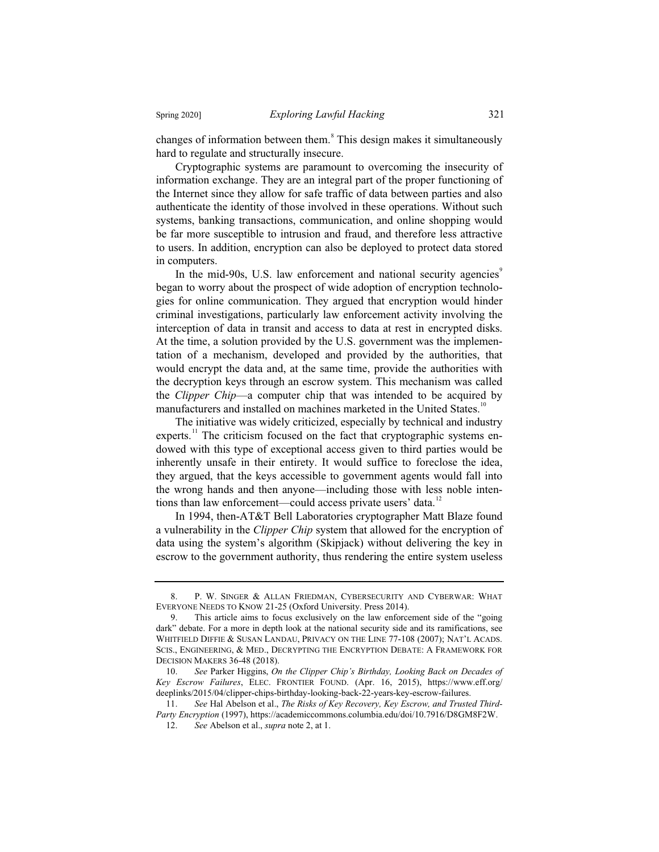changes of information between them.<sup>8</sup> This design makes it simultaneously hard to regulate and structurally insecure.

Cryptographic systems are paramount to overcoming the insecurity of information exchange. They are an integral part of the proper functioning of the Internet since they allow for safe traffic of data between parties and also authenticate the identity of those involved in these operations. Without such systems, banking transactions, communication, and online shopping would be far more susceptible to intrusion and fraud, and therefore less attractive to users. In addition, encryption can also be deployed to protect data stored in computers.

In the mid-90s, U.S. law enforcement and national security agencies<sup>9</sup> began to worry about the prospect of wide adoption of encryption technologies for online communication. They argued that encryption would hinder criminal investigations, particularly law enforcement activity involving the interception of data in transit and access to data at rest in encrypted disks. At the time, a solution provided by the U.S. government was the implementation of a mechanism, developed and provided by the authorities, that would encrypt the data and, at the same time, provide the authorities with the decryption keys through an escrow system. This mechanism was called the *Clipper Chip*—a computer chip that was intended to be acquired by manufacturers and installed on machines marketed in the United States.<sup>10</sup>

The initiative was widely criticized, especially by technical and industry experts.<sup>11</sup> The criticism focused on the fact that cryptographic systems endowed with this type of exceptional access given to third parties would be inherently unsafe in their entirety. It would suffice to foreclose the idea, they argued, that the keys accessible to government agents would fall into the wrong hands and then anyone—including those with less noble intentions than law enforcement—could access private users' data.<sup>12</sup>

In 1994, then-AT&T Bell Laboratories cryptographer Matt Blaze found a vulnerability in the *Clipper Chip* system that allowed for the encryption of data using the system's algorithm (Skipjack) without delivering the key in escrow to the government authority, thus rendering the entire system useless

<sup>8.</sup> P. W. SINGER & ALLAN FRIEDMAN, CYBERSECURITY AND CYBERWAR: WHAT EVERYONE NEEDS TO KNOW 21-25 (Oxford University. Press 2014).

<sup>9.</sup> This article aims to focus exclusively on the law enforcement side of the "going dark" debate. For a more in depth look at the national security side and its ramifications, see WHITFIELD DIFFIE & SUSAN LANDAU, PRIVACY ON THE LINE 77-108 (2007); NAT'L ACADS. SCIS., ENGINEERING, & MED., DECRYPTING THE ENCRYPTION DEBATE: A FRAMEWORK FOR DECISION MAKERS 36-48 (2018).

<sup>10.</sup> *See* Parker Higgins, *On the Clipper Chip's Birthday, Looking Back on Decades of Key Escrow Failures*, ELEC. FRONTIER FOUND. (Apr. 16, 2015), https://www.eff.org/ deeplinks/2015/04/clipper-chips-birthday-looking-back-22-years-key-escrow-failures.

<sup>11.</sup> *See* Hal Abelson et al., *The Risks of Key Recovery, Key Escrow, and Trusted Third-Party Encryption* (1997), https://academiccommons.columbia.edu/doi/10.7916/D8GM8F2W.

<sup>12.</sup> *See* Abelson et al., *supra* note 2, at 1.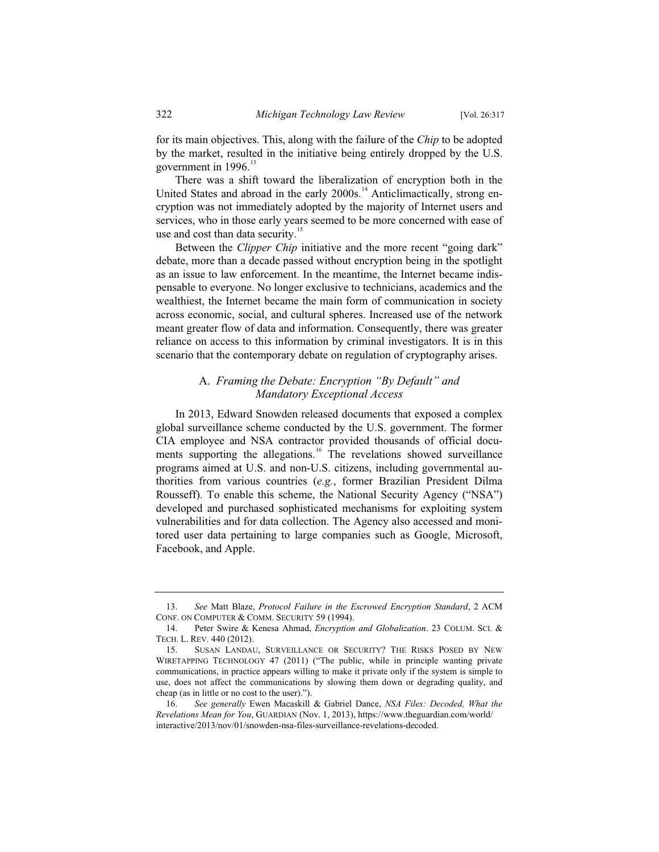for its main objectives. This, along with the failure of the *Chip* to be adopted by the market, resulted in the initiative being entirely dropped by the U.S. government in 1996.<sup>13</sup>

There was a shift toward the liberalization of encryption both in the United States and abroad in the early 2000s.<sup>14</sup> Anticlimactically, strong encryption was not immediately adopted by the majority of Internet users and services, who in those early years seemed to be more concerned with ease of use and cost than data security.<sup>15</sup>

Between the *Clipper Chip* initiative and the more recent "going dark" debate, more than a decade passed without encryption being in the spotlight as an issue to law enforcement. In the meantime, the Internet became indispensable to everyone. No longer exclusive to technicians, academics and the wealthiest, the Internet became the main form of communication in society across economic, social, and cultural spheres. Increased use of the network meant greater flow of data and information. Consequently, there was greater reliance on access to this information by criminal investigators. It is in this scenario that the contemporary debate on regulation of cryptography arises.

# A. *Framing the Debate: Encryption "By Default" and Mandatory Exceptional Access*

In 2013, Edward Snowden released documents that exposed a complex global surveillance scheme conducted by the U.S. government. The former CIA employee and NSA contractor provided thousands of official documents supporting the allegations.<sup>16</sup> The revelations showed surveillance programs aimed at U.S. and non-U.S. citizens, including governmental authorities from various countries (*e.g.*, former Brazilian President Dilma Rousseff). To enable this scheme, the National Security Agency ("NSA") developed and purchased sophisticated mechanisms for exploiting system vulnerabilities and for data collection. The Agency also accessed and monitored user data pertaining to large companies such as Google, Microsoft, Facebook, and Apple.

<sup>13.</sup> *See* Matt Blaze, *Protocol Failure in the Escrowed Encryption Standard*, 2 ACM CONF. ON COMPUTER & COMM. SECURITY 59 (1994).

<sup>14.</sup> Peter Swire & Kenesa Ahmad, *Encryption and Globalization*. 23 COLUM. SCI. & TECH. L. REV. 440 (2012).

<sup>15.</sup> SUSAN LANDAU, SURVEILLANCE OR SECURITY? THE RISKS POSED BY NEW WIRETAPPING TECHNOLOGY 47 (2011) ("The public, while in principle wanting private communications, in practice appears willing to make it private only if the system is simple to use, does not affect the communications by slowing them down or degrading quality, and cheap (as in little or no cost to the user).").

<sup>16.</sup> *See generally* Ewen Macaskill & Gabriel Dance, *NSA Files: Decoded, What the Revelations Mean for You*, GUARDIAN (Nov. 1, 2013), https://www.theguardian.com/world/ interactive/2013/nov/01/snowden-nsa-files-surveillance-revelations-decoded.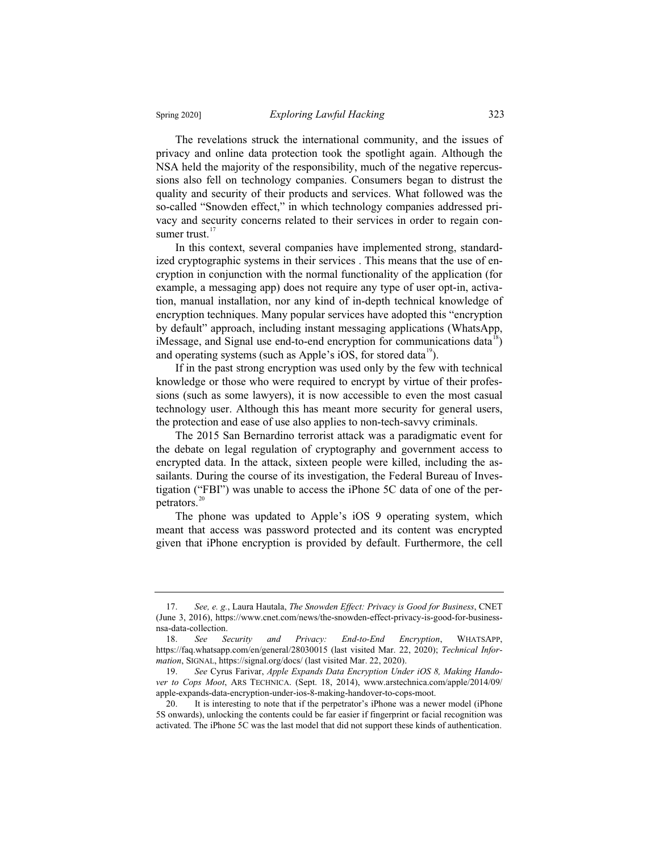The revelations struck the international community, and the issues of privacy and online data protection took the spotlight again. Although the NSA held the majority of the responsibility, much of the negative repercussions also fell on technology companies. Consumers began to distrust the quality and security of their products and services. What followed was the so-called "Snowden effect," in which technology companies addressed privacy and security concerns related to their services in order to regain consumer trust.<sup>17</sup>

In this context, several companies have implemented strong, standardized cryptographic systems in their services . This means that the use of encryption in conjunction with the normal functionality of the application (for example, a messaging app) does not require any type of user opt-in, activation, manual installation, nor any kind of in-depth technical knowledge of encryption techniques. Many popular services have adopted this "encryption by default" approach, including instant messaging applications (WhatsApp, iMessage, and Signal use end-to-end encryption for communications data<sup>18</sup>) and operating systems (such as Apple's iOS, for stored data<sup>19</sup>).

If in the past strong encryption was used only by the few with technical knowledge or those who were required to encrypt by virtue of their professions (such as some lawyers), it is now accessible to even the most casual technology user. Although this has meant more security for general users, the protection and ease of use also applies to non-tech-savvy criminals.

The 2015 San Bernardino terrorist attack was a paradigmatic event for the debate on legal regulation of cryptography and government access to encrypted data. In the attack, sixteen people were killed, including the assailants. During the course of its investigation, the Federal Bureau of Investigation ("FBI") was unable to access the iPhone 5C data of one of the perpetrators.<sup>2</sup>

The phone was updated to Apple's iOS 9 operating system, which meant that access was password protected and its content was encrypted given that iPhone encryption is provided by default. Furthermore, the cell

<sup>17.</sup> *See, e. g.*, Laura Hautala, *The Snowden Effect: Privacy is Good for Business*, CNET (June 3, 2016), https://www.cnet.com/news/the-snowden-effect-privacy-is-good-for-businessnsa-data-collection.

<sup>18.</sup> *See Security and Privacy: End-to-End Encryption*, WHATSAPP, https://faq.whatsapp.com/en/general/28030015 (last visited Mar. 22, 2020); *Technical Information*, SIGNAL, https://signal.org/docs/ (last visited Mar. 22, 2020).

<sup>19.</sup> *See* Cyrus Farivar, *Apple Expands Data Encryption Under iOS 8, Making Handover to Cops Moot*, ARS TECHNICA. (Sept. 18, 2014), www.arstechnica.com/apple/2014/09/ apple-expands-data-encryption-under-ios-8-making-handover-to-cops-moot.

<sup>20.</sup> It is interesting to note that if the perpetrator's iPhone was a newer model (iPhone 5S onwards), unlocking the contents could be far easier if fingerprint or facial recognition was activated. The iPhone 5C was the last model that did not support these kinds of authentication.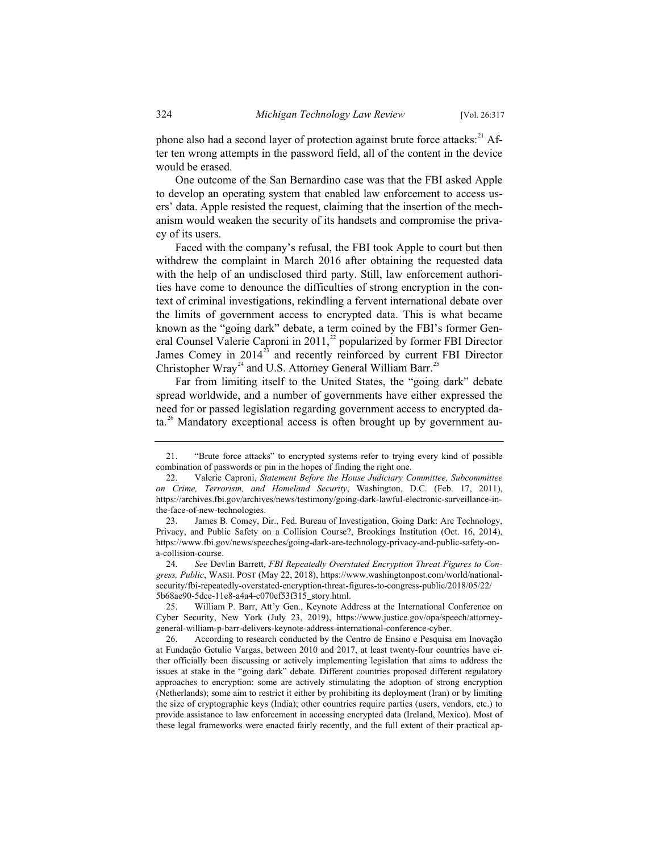phone also had a second layer of protection against brute force attacks:<sup>21</sup> After ten wrong attempts in the password field, all of the content in the device would be erased.

One outcome of the San Bernardino case was that the FBI asked Apple to develop an operating system that enabled law enforcement to access users' data. Apple resisted the request, claiming that the insertion of the mechanism would weaken the security of its handsets and compromise the privacy of its users.

Faced with the company's refusal, the FBI took Apple to court but then withdrew the complaint in March 2016 after obtaining the requested data with the help of an undisclosed third party. Still, law enforcement authorities have come to denounce the difficulties of strong encryption in the context of criminal investigations, rekindling a fervent international debate over the limits of government access to encrypted data. This is what became known as the "going dark" debate, a term coined by the FBI's former General Counsel Valerie Caproni in 2011,<sup>22</sup> popularized by former FBI Director James Comey in  $2014^{23}$  and recently reinforced by current FBI Director Christopher Wray<sup>24</sup> and U.S. Attorney General William Barr.<sup>25</sup>

Far from limiting itself to the United States, the "going dark" debate spread worldwide, and a number of governments have either expressed the need for or passed legislation regarding government access to encrypted da $ta<sup>26</sup>$  Mandatory exceptional access is often brought up by government au-

24. *See* Devlin Barrett, *FBI Repeatedly Overstated Encryption Threat Figures to Congress, Public*, WASH. POST (May 22, 2018), https://www.washingtonpost.com/world/nationalsecurity/fbi-repeatedly-overstated-encryption-threat-figures-to-congress-public/2018/05/22/ 5b68ae90-5dce-11e8-a4a4-c070ef53f315\_story.html.

<sup>21. &</sup>quot;Brute force attacks" to encrypted systems refer to trying every kind of possible combination of passwords or pin in the hopes of finding the right one.

<sup>22.</sup> Valerie Caproni, *Statement Before the House Judiciary Committee, Subcommittee on Crime, Terrorism, and Homeland Security*, Washington, D.C. (Feb. 17, 2011), https://archives.fbi.gov/archives/news/testimony/going-dark-lawful-electronic-surveillance-inthe-face-of-new-technologies.

<sup>23.</sup> James B. Comey, Dir., Fed. Bureau of Investigation, Going Dark: Are Technology, Privacy, and Public Safety on a Collision Course?, Brookings Institution (Oct. 16, 2014), https://www.fbi.gov/news/speeches/going-dark-are-technology-privacy-and-public-safety-ona-collision-course.

William P. Barr, Att'y Gen., Keynote Address at the International Conference on Cyber Security, New York (July 23, 2019), https://www.justice.gov/opa/speech/attorneygeneral-william-p-barr-delivers-keynote-address-international-conference-cyber.

<sup>26.</sup> According to research conducted by the Centro de Ensino e Pesquisa em Inovação at Fundação Getulio Vargas, between 2010 and 2017, at least twenty-four countries have either officially been discussing or actively implementing legislation that aims to address the issues at stake in the "going dark" debate. Different countries proposed different regulatory approaches to encryption: some are actively stimulating the adoption of strong encryption (Netherlands); some aim to restrict it either by prohibiting its deployment (Iran) or by limiting the size of cryptographic keys (India); other countries require parties (users, vendors, etc.) to provide assistance to law enforcement in accessing encrypted data (Ireland, Mexico). Most of these legal frameworks were enacted fairly recently, and the full extent of their practical ap-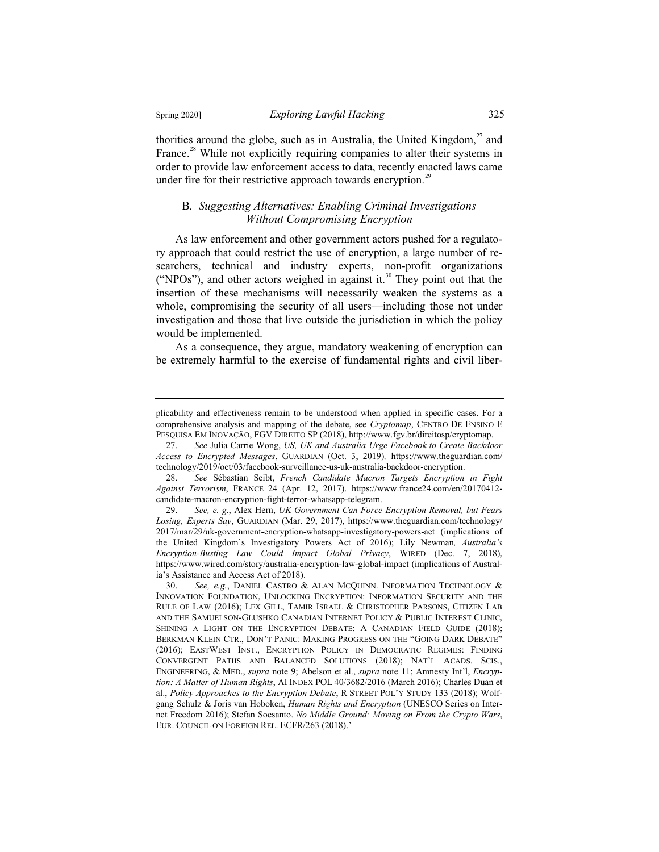thorities around the globe, such as in Australia, the United Kingdom, $^{27}$  and France.<sup>28</sup> While not explicitly requiring companies to alter their systems in order to provide law enforcement access to data, recently enacted laws came under fire for their restrictive approach towards encryption.<sup>29</sup>

# B*. Suggesting Alternatives: Enabling Criminal Investigations Without Compromising Encryption*

As law enforcement and other government actors pushed for a regulatory approach that could restrict the use of encryption, a large number of researchers, technical and industry experts, non-profit organizations ("NPOs"), and other actors weighed in against it.<sup>30</sup> They point out that the insertion of these mechanisms will necessarily weaken the systems as a whole, compromising the security of all users—including those not under investigation and those that live outside the jurisdiction in which the policy would be implemented.

As a consequence, they argue, mandatory weakening of encryption can be extremely harmful to the exercise of fundamental rights and civil liber-

plicability and effectiveness remain to be understood when applied in specific cases. For a comprehensive analysis and mapping of the debate, see *Cryptomap*, CENTRO DE ENSINO E PESQUISA EM INOVAÇÃO, FGV DIREITO SP (2018), http://www.fgv.br/direitosp/cryptomap.

<sup>27.</sup> *See* Julia Carrie Wong, *US, UK and Australia Urge Facebook to Create Backdoor Access to Encrypted Messages*, GUARDIAN (Oct. 3, 2019)*,* https://www.theguardian.com/ technology/2019/oct/03/facebook-surveillance-us-uk-australia-backdoor-encryption.

<sup>28.</sup> *See* Sébastian Seibt, *French Candidate Macron Targets Encryption in Fight Against Terrorism*, FRANCE 24 (Apr. 12, 2017). https://www.france24.com/en/20170412 candidate-macron-encryption-fight-terror-whatsapp-telegram.

<sup>29.</sup> *See, e. g.*, Alex Hern, *UK Government Can Force Encryption Removal, but Fears Losing, Experts Say*, GUARDIAN (Mar. 29, 2017), https://www.theguardian.com/technology/ 2017/mar/29/uk-government-encryption-whatsapp-investigatory-powers-act (implications of the United Kingdom's Investigatory Powers Act of 2016); Lily Newman*, Australia's Encryption-Busting Law Could Impact Global Privacy*, WIRED (Dec. 7, 2018), https://www.wired.com/story/australia-encryption-law-global-impact (implications of Australia's Assistance and Access Act of 2018).<br>30. See, e.g., DANIEL CASTRO &

See, e.g., DANIEL CASTRO & ALAN MCQUINN. INFORMATION TECHNOLOGY & INNOVATION FOUNDATION, UNLOCKING ENCRYPTION: INFORMATION SECURITY AND THE RULE OF LAW (2016); LEX GILL, TAMIR ISRAEL & CHRISTOPHER PARSONS, CITIZEN LAB AND THE SAMUELSON-GLUSHKO CANADIAN INTERNET POLICY & PUBLIC INTEREST CLINIC, SHINING A LIGHT ON THE ENCRYPTION DEBATE: A CANADIAN FIELD GUIDE (2018); BERKMAN KLEIN CTR., DON'T PANIC: MAKING PROGRESS ON THE "GOING DARK DEBATE" (2016); EASTWEST INST., ENCRYPTION POLICY IN DEMOCRATIC REGIMES: FINDING CONVERGENT PATHS AND BALANCED SOLUTIONS (2018); NAT'L ACADS. SCIS., ENGINEERING,&MED., *supra* note 9; Abelson et al., *supra* note 11; Amnesty Int'l, *Encryption: A Matter of Human Rights*, AI INDEX POL 40/3682/2016 (March 2016); Charles Duan et al., *Policy Approaches to the Encryption Debate*, R STREET POL'Y STUDY 133 (2018); Wolfgang Schulz & Joris van Hoboken, *Human Rights and Encryption* (UNESCO Series on Internet Freedom 2016); Stefan Soesanto. *No Middle Ground: Moving on From the Crypto Wars*, EUR. COUNCIL ON FOREIGN REL. ECFR/263 (2018).'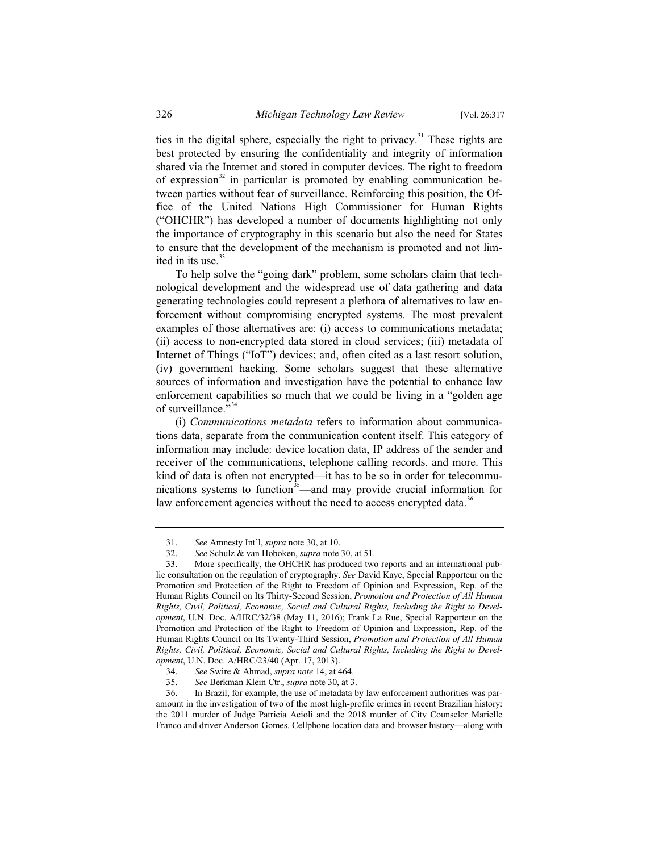ties in the digital sphere, especially the right to privacy. $31$  These rights are best protected by ensuring the confidentiality and integrity of information shared via the Internet and stored in computer devices. The right to freedom of expression<sup>32</sup> in particular is promoted by enabling communication between parties without fear of surveillance. Reinforcing this position, the Office of the United Nations High Commissioner for Human Rights ("OHCHR") has developed a number of documents highlighting not only the importance of cryptography in this scenario but also the need for States to ensure that the development of the mechanism is promoted and not limited in its use.<sup>33</sup>

To help solve the "going dark" problem, some scholars claim that technological development and the widespread use of data gathering and data generating technologies could represent a plethora of alternatives to law enforcement without compromising encrypted systems. The most prevalent examples of those alternatives are: (i) access to communications metadata; (ii) access to non-encrypted data stored in cloud services; (iii) metadata of Internet of Things ("IoT") devices; and, often cited as a last resort solution, (iv) government hacking. Some scholars suggest that these alternative sources of information and investigation have the potential to enhance law enforcement capabilities so much that we could be living in a "golden age of surveillance."<sup>3</sup>

(i) *Communications metadata* refers to information about communications data, separate from the communication content itself. This category of information may include: device location data, IP address of the sender and receiver of the communications, telephone calling records, and more. This kind of data is often not encrypted—it has to be so in order for telecommunications systems to function<sup>35</sup>—and may provide crucial information for law enforcement agencies without the need to access encrypted data.<sup>36</sup>

<sup>31.</sup> *See* Amnesty Int'l, *supra* note 30, at 10.

<sup>32.</sup> *See* Schulz & van Hoboken, *supra* note 30, at 51.

<sup>33.</sup> More specifically, the OHCHR has produced two reports and an international public consultation on the regulation of cryptography. *See* David Kaye, Special Rapporteur on the Promotion and Protection of the Right to Freedom of Opinion and Expression, Rep. of the Human Rights Council on Its Thirty-Second Session, *Promotion and Protection of All Human Rights, Civil, Political, Economic, Social and Cultural Rights, Including the Right to Development*, U.N. Doc. A/HRC/32/38 (May 11, 2016); Frank La Rue, Special Rapporteur on the Promotion and Protection of the Right to Freedom of Opinion and Expression, Rep. of the Human Rights Council on Its Twenty-Third Session, *Promotion and Protection of All Human Rights, Civil, Political, Economic, Social and Cultural Rights, Including the Right to Development*, U.N. Doc. A/HRC/23/40 (Apr. 17, 2013).

<sup>34.</sup> *See* Swire & Ahmad, *supra note* 14, at 464.

<sup>35.</sup> *See* Berkman Klein Ctr., *supra* note 30, at 3.

<sup>36.</sup> In Brazil, for example, the use of metadata by law enforcement authorities was paramount in the investigation of two of the most high-profile crimes in recent Brazilian history: the 2011 murder of Judge Patricia Acioli and the 2018 murder of City Counselor Marielle Franco and driver Anderson Gomes. Cellphone location data and browser history—along with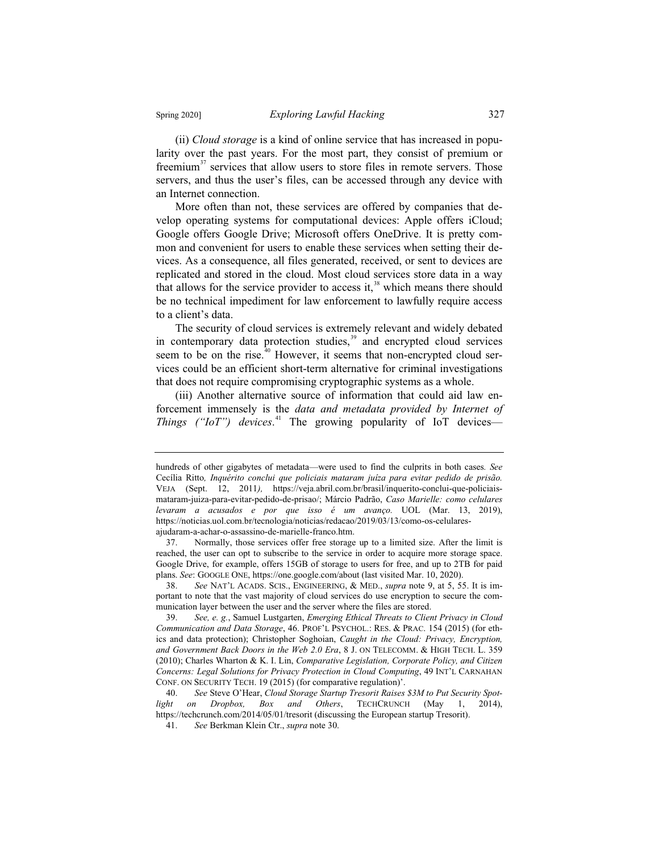(ii) *Cloud storage* is a kind of online service that has increased in popularity over the past years. For the most part, they consist of premium or freemium<sup>37</sup> services that allow users to store files in remote servers. Those servers, and thus the user's files, can be accessed through any device with an Internet connection.

More often than not, these services are offered by companies that develop operating systems for computational devices: Apple offers iCloud; Google offers Google Drive; Microsoft offers OneDrive. It is pretty common and convenient for users to enable these services when setting their devices. As a consequence, all files generated, received, or sent to devices are replicated and stored in the cloud. Most cloud services store data in a way that allows for the service provider to access it, $38$  which means there should be no technical impediment for law enforcement to lawfully require access to a client's data.

The security of cloud services is extremely relevant and widely debated in contemporary data protection studies,<sup>39</sup> and encrypted cloud services seem to be on the rise. $40$  However, it seems that non-encrypted cloud services could be an efficient short-term alternative for criminal investigations that does not require compromising cryptographic systems as a whole.

(iii) Another alternative source of information that could aid law enforcement immensely is the *data and metadata provided by Internet of Things ("IoT") devices*. <sup>41</sup> The growing popularity of IoT devices—

hundreds of other gigabytes of metadata—were used to find the culprits in both cases*. See*  Cecília Ritto*, Inquérito conclui que policiais mataram juíza para evitar pedido de prisão.*  VEJA (Sept. 12, 2011*),* https://veja.abril.com.br/brasil/inquerito-conclui-que-policiaismataram-juiza-para-evitar-pedido-de-prisao/; Márcio Padrão, *Caso Marielle: como celulares levaram a acusados e por que isso é um avanço.* UOL (Mar. 13, 2019), https://noticias.uol.com.br/tecnologia/noticias/redacao/2019/03/13/como-os-celularesajudaram-a-achar-o-assassino-de-marielle-franco.htm.

<sup>37.</sup> Normally, those services offer free storage up to a limited size. After the limit is reached, the user can opt to subscribe to the service in order to acquire more storage space. Google Drive, for example, offers 15GB of storage to users for free, and up to 2TB for paid plans. *See*: GOOGLE ONE, https://one.google.com/about (last visited Mar. 10, 2020).

<sup>38.</sup> *See* NAT'L ACADS. SCIS., ENGINEERING,&MED., *supra* note 9, at 5, 55. It is important to note that the vast majority of cloud services do use encryption to secure the communication layer between the user and the server where the files are stored.

<sup>39.</sup> *See, e. g.*, Samuel Lustgarten, *Emerging Ethical Threats to Client Privacy in Cloud Communication and Data Storage*, 46. PROF'L PSYCHOL.: RES.&PRAC. 154 (2015) (for ethics and data protection); Christopher Soghoian, *Caught in the Cloud: Privacy, Encryption,*  and Government Back Doors in the Web 2.0 Era, 8 J. ON TELECOMM. & HIGH TECH. L. 359 (2010); Charles Wharton & K. I. Lin, *Comparative Legislation, Corporate Policy, and Citizen Concerns: Legal Solutions for Privacy Protection in Cloud Computing*, 49 INT'L CARNAHAN CONF. ON SECURITY TECH. 19 (2015) (for comparative regulation)'.

<sup>40.</sup> *See* Steve O'Hear, *Cloud Storage Startup Tresorit Raises \$3M to Put Security Spotlight on Dropbox, Box and Others*, TECHCRUNCH (May 1, 2014), https://techcrunch.com/2014/05/01/tresorit (discussing the European startup Tresorit).

<sup>41.</sup> *See* Berkman Klein Ctr., *supra* note 30.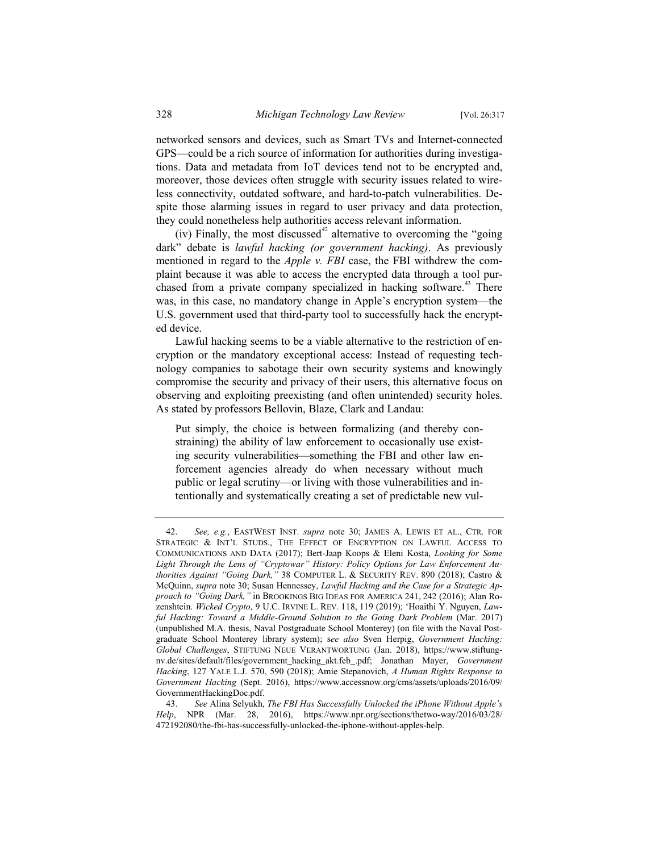networked sensors and devices, such as Smart TVs and Internet-connected GPS—could be a rich source of information for authorities during investigations. Data and metadata from IoT devices tend not to be encrypted and, moreover, those devices often struggle with security issues related to wireless connectivity, outdated software, and hard-to-patch vulnerabilities. Despite those alarming issues in regard to user privacy and data protection, they could nonetheless help authorities access relevant information.

(iv) Finally, the most discussed $42$  alternative to overcoming the "going" dark" debate is *lawful hacking (or government hacking)*. As previously mentioned in regard to the *Apple v. FBI* case, the FBI withdrew the complaint because it was able to access the encrypted data through a tool purchased from a private company specialized in hacking software.<sup>43</sup> There was, in this case, no mandatory change in Apple's encryption system—the U.S. government used that third-party tool to successfully hack the encrypted device.

Lawful hacking seems to be a viable alternative to the restriction of encryption or the mandatory exceptional access: Instead of requesting technology companies to sabotage their own security systems and knowingly compromise the security and privacy of their users, this alternative focus on observing and exploiting preexisting (and often unintended) security holes. As stated by professors Bellovin, Blaze, Clark and Landau:

Put simply, the choice is between formalizing (and thereby constraining) the ability of law enforcement to occasionally use existing security vulnerabilities—something the FBI and other law enforcement agencies already do when necessary without much public or legal scrutiny—or living with those vulnerabilities and intentionally and systematically creating a set of predictable new vul-

<sup>42.</sup> *See, e.g.*, EASTWEST INST. *supra* note 30; JAMES A. LEWIS ET AL., CTR. FOR STRATEGIC & INT'L STUDS., THE EFFECT OF ENCRYPTION ON LAWFUL ACCESS TO COMMUNICATIONS AND DATA (2017); Bert-Jaap Koops & Eleni Kosta, *Looking for Some Light Through the Lens of "Cryptowar" History: Policy Options for Law Enforcement Authorities Against "Going Dark,"* 38 COMPUTER L. & SECURITY REV. 890 (2018); Castro & McQuinn, *supra* note 30; Susan Hennessey, *Lawful Hacking and the Case for a Strategic Approach to "Going Dark,"* in BROOKINGS BIG IDEAS FOR AMERICA 241, 242 (2016); Alan Rozenshtein. *Wicked Crypto*, 9 U.C. IRVINE L. REV. 118, 119 (2019); 'Hoaithi Y. Nguyen, *Lawful Hacking: Toward a Middle-Ground Solution to the Going Dark Problem* (Mar. 2017) (unpublished M.A. thesis, Naval Postgraduate School Monterey) (on file with the Naval Postgraduate School Monterey library system); s*ee also* Sven Herpig, *Government Hacking: Global Challenges*, STIFTUNG NEUE VERANTWORTUNG (Jan. 2018), https://www.stiftungnv.de/sites/default/files/government\_hacking\_akt.feb\_.pdf; Jonathan Mayer, *Government Hacking*, 127 YALE L.J. 570, 590 (2018); Amie Stepanovich, *A Human Rights Response to Government Hacking* (Sept. 2016), https://www.accessnow.org/cms/assets/uploads/2016/09/ GovernmentHackingDoc.pdf.

<sup>43.</sup> *See* Alina Selyukh, *The FBI Has Successfully Unlocked the iPhone Without Apple's Help*, NPR (Mar. 28, 2016), https://www.npr.org/sections/thetwo-way/2016/03/28/ 472192080/the-fbi-has-successfully-unlocked-the-iphone-without-apples-help.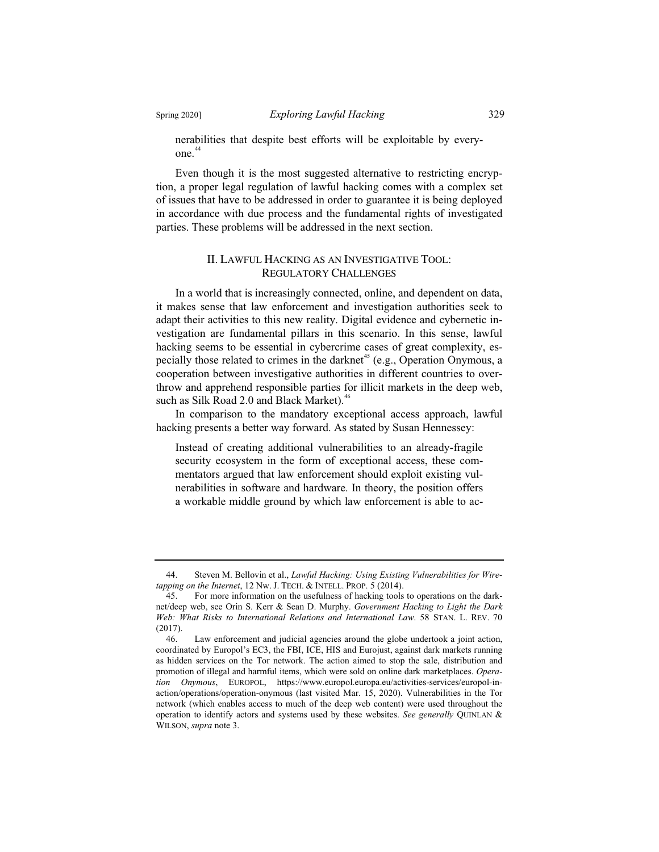nerabilities that despite best efforts will be exploitable by everyone.<sup>44</sup>

Even though it is the most suggested alternative to restricting encryption, a proper legal regulation of lawful hacking comes with a complex set of issues that have to be addressed in order to guarantee it is being deployed in accordance with due process and the fundamental rights of investigated parties. These problems will be addressed in the next section.

#### II. LAWFUL HACKING AS AN INVESTIGATIVE TOOL: REGULATORY CHALLENGES

In a world that is increasingly connected, online, and dependent on data, it makes sense that law enforcement and investigation authorities seek to adapt their activities to this new reality. Digital evidence and cybernetic investigation are fundamental pillars in this scenario. In this sense, lawful hacking seems to be essential in cybercrime cases of great complexity, especially those related to crimes in the darknet<sup>45</sup> (e.g., Operation Onymous, a cooperation between investigative authorities in different countries to overthrow and apprehend responsible parties for illicit markets in the deep web, such as Silk Road 2.0 and Black Market). $46$ 

In comparison to the mandatory exceptional access approach, lawful hacking presents a better way forward. As stated by Susan Hennessey:

Instead of creating additional vulnerabilities to an already-fragile security ecosystem in the form of exceptional access, these commentators argued that law enforcement should exploit existing vulnerabilities in software and hardware. In theory, the position offers a workable middle ground by which law enforcement is able to ac-

<sup>44.</sup> Steven M. Bellovin et al., *Lawful Hacking: Using Existing Vulnerabilities for Wiretapping on the Internet*, 12 Nw. J. TECH. & INTELL. PROP. 5 (2014).

<sup>45.</sup> For more information on the usefulness of hacking tools to operations on the darknet/deep web, see Orin S. Kerr & Sean D. Murphy. *Government Hacking to Light the Dark Web: What Risks to International Relations and International Law*. 58 STAN. L. REV. 70 (2017).

<sup>46.</sup> Law enforcement and judicial agencies around the globe undertook a joint action, coordinated by Europol's EC3, the FBI, ICE, HIS and Eurojust, against dark markets running as hidden services on the Tor network. The action aimed to stop the sale, distribution and promotion of illegal and harmful items, which were sold on online dark marketplaces. *Operation Onymous*, EUROPOL, https://www.europol.europa.eu/activities-services/europol-inaction/operations/operation-onymous (last visited Mar. 15, 2020). Vulnerabilities in the Tor network (which enables access to much of the deep web content) were used throughout the operation to identify actors and systems used by these websites. *See generally* QUINLAN & WILSON, *supra* note 3.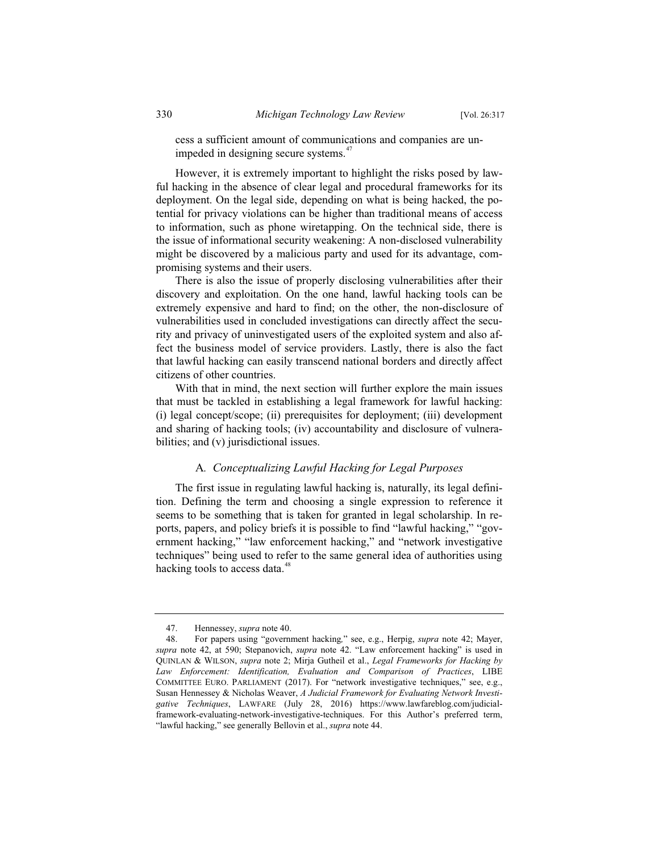cess a sufficient amount of communications and companies are unimpeded in designing secure systems.<sup>47</sup>

However, it is extremely important to highlight the risks posed by lawful hacking in the absence of clear legal and procedural frameworks for its deployment. On the legal side, depending on what is being hacked, the potential for privacy violations can be higher than traditional means of access to information, such as phone wiretapping. On the technical side, there is the issue of informational security weakening: A non-disclosed vulnerability might be discovered by a malicious party and used for its advantage, compromising systems and their users.

There is also the issue of properly disclosing vulnerabilities after their discovery and exploitation. On the one hand, lawful hacking tools can be extremely expensive and hard to find; on the other, the non-disclosure of vulnerabilities used in concluded investigations can directly affect the security and privacy of uninvestigated users of the exploited system and also affect the business model of service providers. Lastly, there is also the fact that lawful hacking can easily transcend national borders and directly affect citizens of other countries.

With that in mind, the next section will further explore the main issues that must be tackled in establishing a legal framework for lawful hacking: (i) legal concept/scope; (ii) prerequisites for deployment; (iii) development and sharing of hacking tools; (iv) accountability and disclosure of vulnerabilities; and (v) jurisdictional issues.

#### A*. Conceptualizing Lawful Hacking for Legal Purposes*

The first issue in regulating lawful hacking is, naturally, its legal definition. Defining the term and choosing a single expression to reference it seems to be something that is taken for granted in legal scholarship. In reports, papers, and policy briefs it is possible to find "lawful hacking," "government hacking," "law enforcement hacking," and "network investigative techniques" being used to refer to the same general idea of authorities using hacking tools to access data.<sup>48</sup>

<sup>47.</sup> Hennessey, *supra* note 40.

<sup>48.</sup> For papers using "government hacking*,*" see, e.g., Herpig, *supra* note 42; Mayer, *supra* note 42, at 590; Stepanovich, *supra* note 42. "Law enforcement hacking" is used in QUINLAN & WILSON, *supra* note 2; Mirja Gutheil et al., *Legal Frameworks for Hacking by Law Enforcement: Identification, Evaluation and Comparison of Practices*, LIBE COMMITTEE EURO. PARLIAMENT (2017). For "network investigative techniques," see, e.g., Susan Hennessey & Nicholas Weaver, *A Judicial Framework for Evaluating Network Investigative Techniques*, LAWFARE (July 28, 2016) https://www.lawfareblog.com/judicialframework-evaluating-network-investigative-techniques. For this Author's preferred term, "lawful hacking," see generally Bellovin et al., *supra* note 44.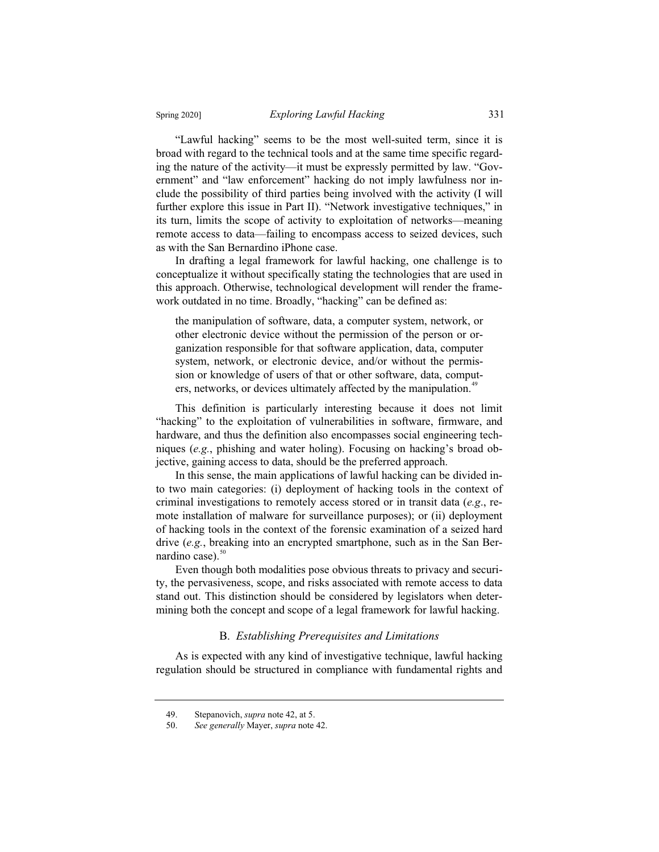"Lawful hacking" seems to be the most well-suited term, since it is broad with regard to the technical tools and at the same time specific regarding the nature of the activity—it must be expressly permitted by law. "Government" and "law enforcement" hacking do not imply lawfulness nor include the possibility of third parties being involved with the activity (I will further explore this issue in Part II). "Network investigative techniques," in its turn, limits the scope of activity to exploitation of networks—meaning remote access to data—failing to encompass access to seized devices, such as with the San Bernardino iPhone case.

In drafting a legal framework for lawful hacking, one challenge is to conceptualize it without specifically stating the technologies that are used in this approach. Otherwise, technological development will render the framework outdated in no time. Broadly, "hacking" can be defined as:

the manipulation of software, data, a computer system, network, or other electronic device without the permission of the person or organization responsible for that software application, data, computer system, network, or electronic device, and/or without the permission or knowledge of users of that or other software, data, computers, networks, or devices ultimately affected by the manipulation.<sup>49</sup>

This definition is particularly interesting because it does not limit "hacking" to the exploitation of vulnerabilities in software, firmware, and hardware, and thus the definition also encompasses social engineering techniques (*e.g.*, phishing and water holing). Focusing on hacking's broad objective, gaining access to data, should be the preferred approach.

In this sense, the main applications of lawful hacking can be divided into two main categories: (i) deployment of hacking tools in the context of criminal investigations to remotely access stored or in transit data (*e.g*., remote installation of malware for surveillance purposes); or (ii) deployment of hacking tools in the context of the forensic examination of a seized hard drive (*e.g.*, breaking into an encrypted smartphone, such as in the San Bernardino case). $50$ 

Even though both modalities pose obvious threats to privacy and security, the pervasiveness, scope, and risks associated with remote access to data stand out. This distinction should be considered by legislators when determining both the concept and scope of a legal framework for lawful hacking.

#### B. *Establishing Prerequisites and Limitations*

As is expected with any kind of investigative technique, lawful hacking regulation should be structured in compliance with fundamental rights and

<sup>49.</sup> Stepanovich, *supra* note 42, at 5.

<sup>50.</sup> *See generally* Mayer, *supra* note 42.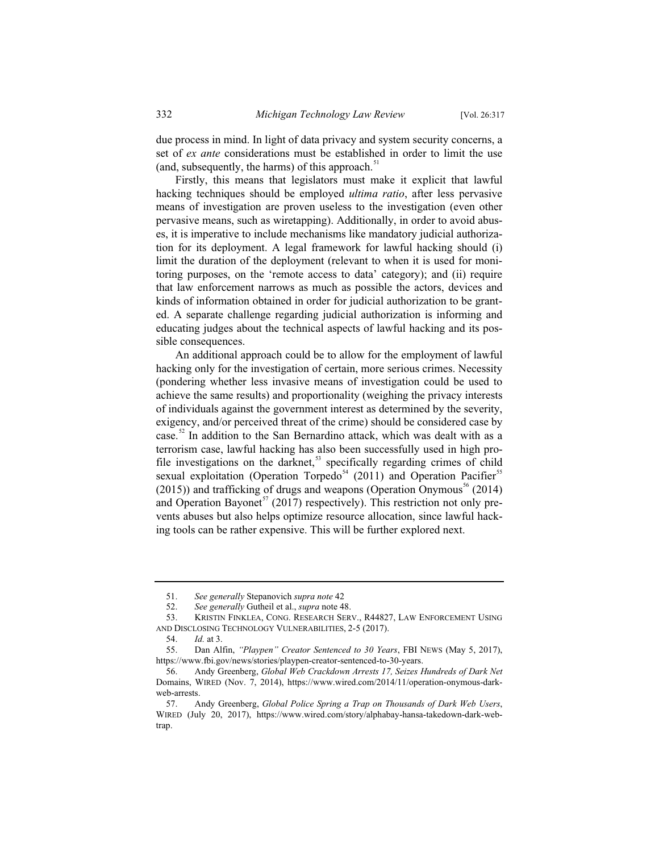due process in mind. In light of data privacy and system security concerns, a set of *ex ante* considerations must be established in order to limit the use (and, subsequently, the harms) of this approach. $51$ 

Firstly, this means that legislators must make it explicit that lawful hacking techniques should be employed *ultima ratio*, after less pervasive means of investigation are proven useless to the investigation (even other pervasive means, such as wiretapping). Additionally, in order to avoid abuses, it is imperative to include mechanisms like mandatory judicial authorization for its deployment. A legal framework for lawful hacking should (i) limit the duration of the deployment (relevant to when it is used for monitoring purposes, on the 'remote access to data' category); and (ii) require that law enforcement narrows as much as possible the actors, devices and kinds of information obtained in order for judicial authorization to be granted. A separate challenge regarding judicial authorization is informing and educating judges about the technical aspects of lawful hacking and its possible consequences.

An additional approach could be to allow for the employment of lawful hacking only for the investigation of certain, more serious crimes. Necessity (pondering whether less invasive means of investigation could be used to achieve the same results) and proportionality (weighing the privacy interests of individuals against the government interest as determined by the severity, exigency, and/or perceived threat of the crime) should be considered case by case.<sup>52</sup> In addition to the San Bernardino attack, which was dealt with as a terrorism case, lawful hacking has also been successfully used in high profile investigations on the darknet, $53$  specifically regarding crimes of child sexual exploitation (Operation Torpedo<sup>54</sup> (2011) and Operation Pacifier<sup>55</sup>  $(2015)$ ) and trafficking of drugs and weapons (Operation Onymous<sup>56</sup> (2014) and Operation Bayonet<sup>57</sup> (2017) respectively). This restriction not only prevents abuses but also helps optimize resource allocation, since lawful hacking tools can be rather expensive. This will be further explored next.

<sup>51.</sup> *See generally* Stepanovich *supra note* 42

<sup>52.</sup> *See generally* Gutheil et al., *supra* note 48.

<sup>53.</sup> KRISTIN FINKLEA, CONG. RESEARCH SERV., R44827, LAW ENFORCEMENT USING AND DISCLOSING TECHNOLOGY VULNERABILITIES, 2-5 (2017).

<sup>54.</sup> *Id.* at 3.

<sup>55.</sup> Dan Alfin, *"Playpen" Creator Sentenced to 30 Years*, FBI NEWS (May 5, 2017), https://www.fbi.gov/news/stories/playpen-creator-sentenced-to-30-years.

<sup>56.</sup> Andy Greenberg, *Global Web Crackdown Arrests 17, Seizes Hundreds of Dark Net*  Domains, WIRED (Nov. 7, 2014), https://www.wired.com/2014/11/operation-onymous-darkweb-arrests.

<sup>57.</sup> Andy Greenberg, *Global Police Spring a Trap on Thousands of Dark Web Users*, WIRED (July 20, 2017), https://www.wired.com/story/alphabay-hansa-takedown-dark-webtrap.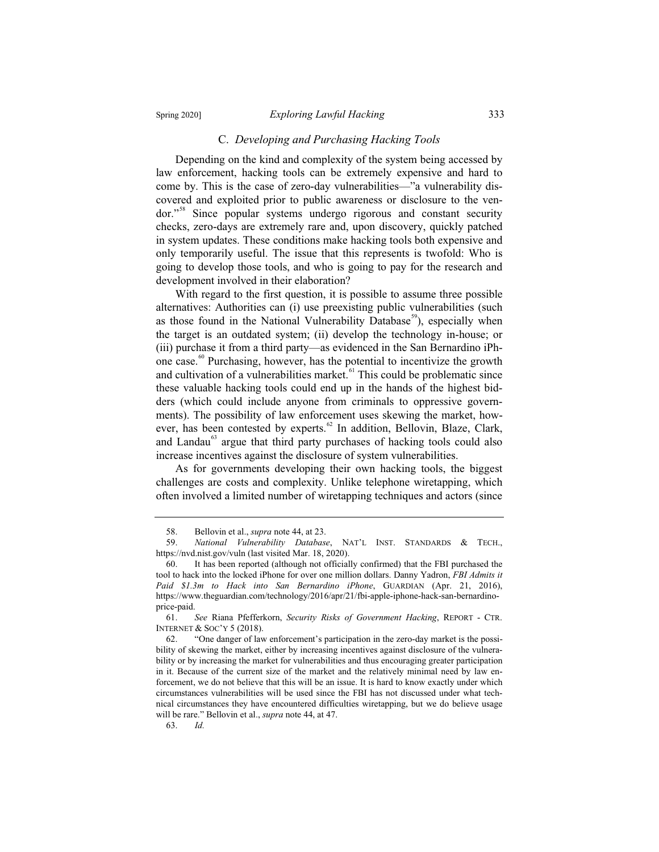#### C. *Developing and Purchasing Hacking Tools*

Depending on the kind and complexity of the system being accessed by law enforcement, hacking tools can be extremely expensive and hard to come by. This is the case of zero-day vulnerabilities—"a vulnerability discovered and exploited prior to public awareness or disclosure to the vendor."<sup>58</sup> Since popular systems undergo rigorous and constant security checks, zero-days are extremely rare and, upon discovery, quickly patched in system updates. These conditions make hacking tools both expensive and only temporarily useful. The issue that this represents is twofold: Who is going to develop those tools, and who is going to pay for the research and development involved in their elaboration?

With regard to the first question, it is possible to assume three possible alternatives: Authorities can (i) use preexisting public vulnerabilities (such as those found in the National Vulnerability Database<sup>59</sup>), especially when the target is an outdated system; (ii) develop the technology in-house; or (iii) purchase it from a third party—as evidenced in the San Bernardino iPhone case.<sup>60</sup> Purchasing, however, has the potential to incentivize the growth and cultivation of a vulnerabilities market. $61$  This could be problematic since these valuable hacking tools could end up in the hands of the highest bidders (which could include anyone from criminals to oppressive governments). The possibility of law enforcement uses skewing the market, however, has been contested by experts.<sup>62</sup> In addition, Bellovin, Blaze, Clark, and Landau<sup>63</sup> argue that third party purchases of hacking tools could also increase incentives against the disclosure of system vulnerabilities.

As for governments developing their own hacking tools, the biggest challenges are costs and complexity. Unlike telephone wiretapping, which often involved a limited number of wiretapping techniques and actors (since

<sup>58.</sup> Bellovin et al., *supra* note 44, at 23.

<sup>59.</sup> *National Vulnerability Database*, NAT'L INST. STANDARDS & TECH., https://nvd.nist.gov/vuln (last visited Mar. 18, 2020).

<sup>60.</sup> It has been reported (although not officially confirmed) that the FBI purchased the tool to hack into the locked iPhone for over one million dollars. Danny Yadron, *FBI Admits it Paid \$1.3m to Hack into San Bernardino iPhone*, GUARDIAN (Apr. 21, 2016), https://www.theguardian.com/technology/2016/apr/21/fbi-apple-iphone-hack-san-bernardinoprice-paid.

<sup>61.</sup> *See* Riana Pfefferkorn, *Security Risks of Government Hacking*, REPORT - CTR. INTERNET & SOC'Y 5 (2018).

<sup>62. &</sup>quot;One danger of law enforcement's participation in the zero-day market is the possibility of skewing the market, either by increasing incentives against disclosure of the vulnerability or by increasing the market for vulnerabilities and thus encouraging greater participation in it. Because of the current size of the market and the relatively minimal need by law enforcement, we do not believe that this will be an issue. It is hard to know exactly under which circumstances vulnerabilities will be used since the FBI has not discussed under what technical circumstances they have encountered difficulties wiretapping, but we do believe usage will be rare." Bellovin et al., *supra* note 44, at 47.

<sup>63.</sup> *Id.*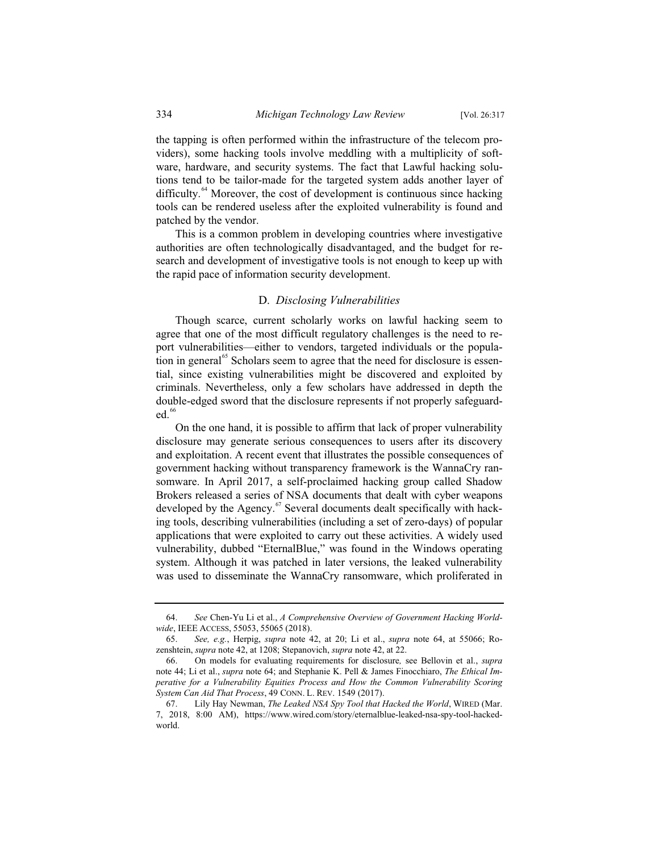the tapping is often performed within the infrastructure of the telecom providers), some hacking tools involve meddling with a multiplicity of software, hardware, and security systems. The fact that Lawful hacking solutions tend to be tailor-made for the targeted system adds another layer of difficulty.<sup>64</sup> Moreover, the cost of development is continuous since hacking tools can be rendered useless after the exploited vulnerability is found and patched by the vendor.

This is a common problem in developing countries where investigative authorities are often technologically disadvantaged, and the budget for research and development of investigative tools is not enough to keep up with the rapid pace of information security development.

#### D. *Disclosing Vulnerabilities*

Though scarce, current scholarly works on lawful hacking seem to agree that one of the most difficult regulatory challenges is the need to report vulnerabilities—either to vendors, targeted individuals or the population in general<sup>65</sup> Scholars seem to agree that the need for disclosure is essential, since existing vulnerabilities might be discovered and exploited by criminals. Nevertheless, only a few scholars have addressed in depth the double-edged sword that the disclosure represents if not properly safeguarded.<sup>66</sup>

On the one hand, it is possible to affirm that lack of proper vulnerability disclosure may generate serious consequences to users after its discovery and exploitation. A recent event that illustrates the possible consequences of government hacking without transparency framework is the WannaCry ransomware. In April 2017, a self-proclaimed hacking group called Shadow Brokers released a series of NSA documents that dealt with cyber weapons developed by the Agency.<sup>67</sup> Several documents dealt specifically with hacking tools, describing vulnerabilities (including a set of zero-days) of popular applications that were exploited to carry out these activities. A widely used vulnerability, dubbed "EternalBlue," was found in the Windows operating system. Although it was patched in later versions, the leaked vulnerability was used to disseminate the WannaCry ransomware, which proliferated in

<sup>64.</sup> *See* Chen-Yu Li et al., *A Comprehensive Overview of Government Hacking Worldwide*, IEEE ACCESS, 55053, 55065 (2018).

<sup>65.</sup> *See, e.g.*, Herpig, *supra* note 42, at 20; Li et al., *supra* note 64, at 55066; Rozenshtein, *supra* note 42, at 1208; Stepanovich, *supra* note 42, at 22.

<sup>66.</sup> On models for evaluating requirements for disclosure*,* see Bellovin et al., *supra*  note 44; Li et al., *supra* note 64; and Stephanie K. Pell & James Finocchiaro, *The Ethical Imperative for a Vulnerability Equities Process and How the Common Vulnerability Scoring System Can Aid That Process*, 49 CONN. L. REV. 1549 (2017).

<sup>67.</sup> Lily Hay Newman, *The Leaked NSA Spy Tool that Hacked the World*, WIRED (Mar. 7, 2018, 8:00 AM), https://www.wired.com/story/eternalblue-leaked-nsa-spy-tool-hackedworld.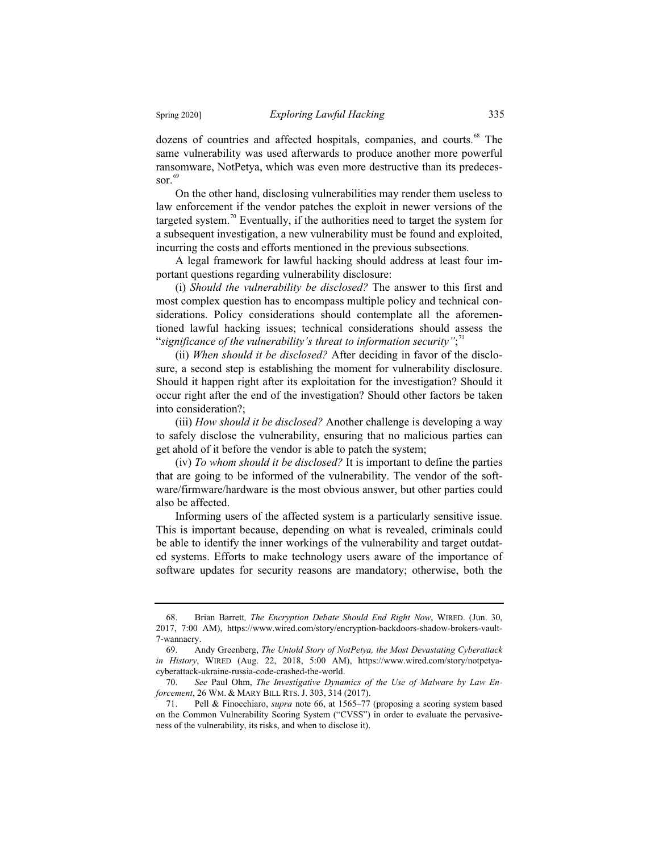dozens of countries and affected hospitals, companies, and courts.<sup>68</sup> The same vulnerability was used afterwards to produce another more powerful ransomware, NotPetya, which was even more destructive than its predecessor. $69$ 

On the other hand, disclosing vulnerabilities may render them useless to law enforcement if the vendor patches the exploit in newer versions of the targeted system.<sup>70</sup> Eventually, if the authorities need to target the system for a subsequent investigation, a new vulnerability must be found and exploited, incurring the costs and efforts mentioned in the previous subsections.

A legal framework for lawful hacking should address at least four important questions regarding vulnerability disclosure:

(i) *Should the vulnerability be disclosed?* The answer to this first and most complex question has to encompass multiple policy and technical considerations. Policy considerations should contemplate all the aforementioned lawful hacking issues; technical considerations should assess the "significance of the vulnerability's threat to information security";<sup>11</sup>

(ii) *When should it be disclosed?* After deciding in favor of the disclosure, a second step is establishing the moment for vulnerability disclosure. Should it happen right after its exploitation for the investigation? Should it occur right after the end of the investigation? Should other factors be taken into consideration?;

(iii) *How should it be disclosed?* Another challenge is developing a way to safely disclose the vulnerability, ensuring that no malicious parties can get ahold of it before the vendor is able to patch the system;

(iv) *To whom should it be disclosed?* It is important to define the parties that are going to be informed of the vulnerability. The vendor of the software/firmware/hardware is the most obvious answer, but other parties could also be affected.

Informing users of the affected system is a particularly sensitive issue. This is important because, depending on what is revealed, criminals could be able to identify the inner workings of the vulnerability and target outdated systems. Efforts to make technology users aware of the importance of software updates for security reasons are mandatory; otherwise, both the

<sup>68.</sup> Brian Barrett*, The Encryption Debate Should End Right Now*, WIRED. (Jun. 30, 2017, 7:00 AM), https://www.wired.com/story/encryption-backdoors-shadow-brokers-vault-7-wannacry.<br>69. A

<sup>69.</sup> Andy Greenberg, *The Untold Story of NotPetya, the Most Devastating Cyberattack in History*, WIRED (Aug. 22, 2018, 5:00 AM), https://www.wired.com/story/notpetyacyberattack-ukraine-russia-code-crashed-the-world.

<sup>70.</sup> *See* Paul Ohm, *The Investigative Dynamics of the Use of Malware by Law Enforcement*, 26 WM. & MARY BILL RTS. J. 303, 314 (2017).

<sup>71.</sup> Pell & Finocchiaro, *supra* note 66, at 1565–77 (proposing a scoring system based on the Common Vulnerability Scoring System ("CVSS") in order to evaluate the pervasiveness of the vulnerability, its risks, and when to disclose it).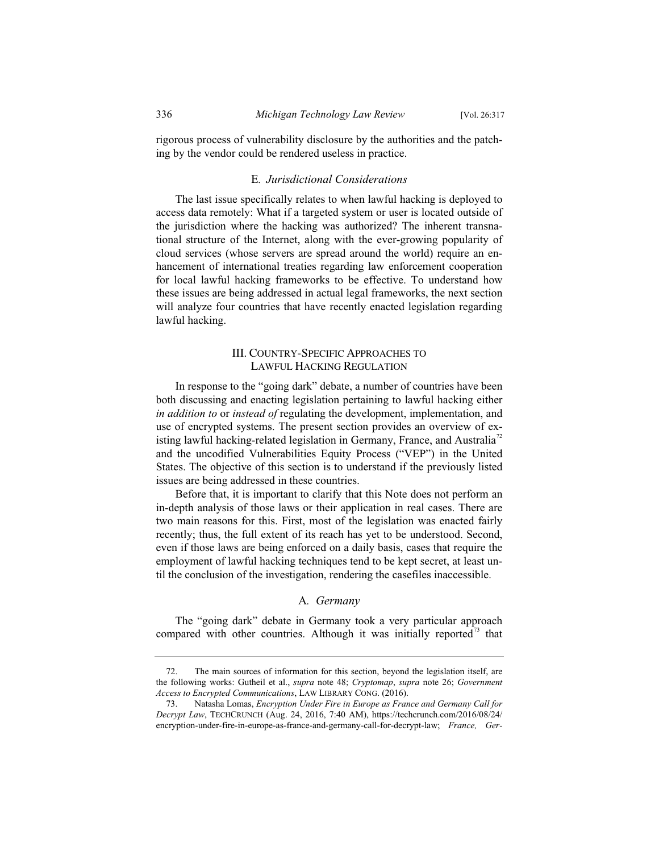rigorous process of vulnerability disclosure by the authorities and the patching by the vendor could be rendered useless in practice.

# E*. Jurisdictional Considerations*

The last issue specifically relates to when lawful hacking is deployed to access data remotely: What if a targeted system or user is located outside of the jurisdiction where the hacking was authorized? The inherent transnational structure of the Internet, along with the ever-growing popularity of cloud services (whose servers are spread around the world) require an enhancement of international treaties regarding law enforcement cooperation for local lawful hacking frameworks to be effective. To understand how these issues are being addressed in actual legal frameworks, the next section will analyze four countries that have recently enacted legislation regarding lawful hacking.

# III. COUNTRY-SPECIFIC APPROACHES TO LAWFUL HACKING REGULATION

In response to the "going dark" debate, a number of countries have been both discussing and enacting legislation pertaining to lawful hacking either *in addition to* or *instead of* regulating the development, implementation, and use of encrypted systems. The present section provides an overview of existing lawful hacking-related legislation in Germany, France, and Australia<sup> $\alpha$ </sup> and the uncodified Vulnerabilities Equity Process ("VEP") in the United States. The objective of this section is to understand if the previously listed issues are being addressed in these countries.

Before that, it is important to clarify that this Note does not perform an in-depth analysis of those laws or their application in real cases. There are two main reasons for this. First, most of the legislation was enacted fairly recently; thus, the full extent of its reach has yet to be understood. Second, even if those laws are being enforced on a daily basis, cases that require the employment of lawful hacking techniques tend to be kept secret, at least until the conclusion of the investigation, rendering the casefiles inaccessible.

## A*. Germany*

The "going dark" debate in Germany took a very particular approach compared with other countries. Although it was initially reported<sup>73</sup> that

<sup>72.</sup> The main sources of information for this section, beyond the legislation itself, are the following works: Gutheil et al., *supra* note 48; *Cryptomap*, *supra* note 26; *Government Access to Encrypted Communications*, LAW LIBRARY CONG. (2016).

<sup>73.</sup> Natasha Lomas, *Encryption Under Fire in Europe as France and Germany Call for Decrypt Law*, TECHCRUNCH (Aug. 24, 2016, 7:40 AM), https://techcrunch.com/2016/08/24/ encryption-under-fire-in-europe-as-france-and-germany-call-for-decrypt-law; *France, Ger-*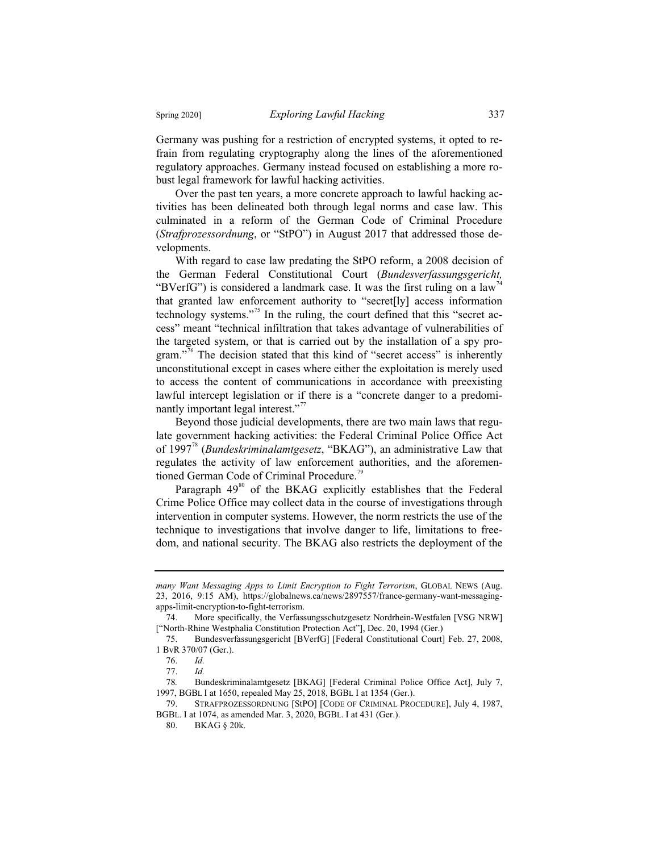Germany was pushing for a restriction of encrypted systems, it opted to refrain from regulating cryptography along the lines of the aforementioned regulatory approaches. Germany instead focused on establishing a more robust legal framework for lawful hacking activities.

Over the past ten years, a more concrete approach to lawful hacking activities has been delineated both through legal norms and case law. This culminated in a reform of the German Code of Criminal Procedure (*Strafprozessordnung*, or "StPO") in August 2017 that addressed those developments.

With regard to case law predating the StPO reform, a 2008 decision of the German Federal Constitutional Court (*Bundesverfassungsgericht,*  "BVerfG") is considered a landmark case. It was the first ruling on a law<sup>74</sup> that granted law enforcement authority to "secret[ly] access information technology systems."<sup>75</sup> In the ruling, the court defined that this "secret access" meant "technical infiltration that takes advantage of vulnerabilities of the targeted system, or that is carried out by the installation of a spy program."<sup>76</sup> The decision stated that this kind of "secret access" is inherently unconstitutional except in cases where either the exploitation is merely used to access the content of communications in accordance with preexisting lawful intercept legislation or if there is a "concrete danger to a predominantly important legal interest."<sup>77</sup>

Beyond those judicial developments, there are two main laws that regulate government hacking activities: the Federal Criminal Police Office Act of 1997<sup>78</sup> (*Bundeskriminalamtgesetz*, "BKAG"), an administrative Law that regulates the activity of law enforcement authorities, and the aforementioned German Code of Criminal Procedure.<sup>79</sup>

Paragraph  $49^{80}$  of the BKAG explicitly establishes that the Federal Crime Police Office may collect data in the course of investigations through intervention in computer systems. However, the norm restricts the use of the technique to investigations that involve danger to life, limitations to freedom, and national security. The BKAG also restricts the deployment of the

*many Want Messaging Apps to Limit Encryption to Fight Terrorism*, GLOBAL NEWS (Aug. 23, 2016, 9:15 AM), https://globalnews.ca/news/2897557/france-germany-want-messagingapps-limit-encryption-to-fight-terrorism.

<sup>74.</sup> More specifically, the Verfassungsschutzgesetz Nordrhein-Westfalen [VSG NRW] ["North-Rhine Westphalia Constitution Protection Act"], Dec. 20, 1994 (Ger.)

<sup>75.</sup> Bundesverfassungsgericht [BVerfG] [Federal Constitutional Court] Feb. 27, 2008, 1 BvR 370/07 (Ger.).

<sup>76.</sup> *Id.*

<sup>77.</sup> *Id.*

<sup>78</sup>*.* Bundeskriminalamtgesetz [BKAG] [Federal Criminal Police Office Act], July 7, 1997, BGBL I at 1650, repealed May 25, 2018, BGBL I at 1354 (Ger.).

<sup>79.</sup> STRAFPROZESSORDNUNG [StPO] [CODE OF CRIMINAL PROCEDURE], July 4, 1987, BGBL. I at 1074, as amended Mar. 3, 2020, BGBL. I at 431 (Ger.).

<sup>80.</sup> BKAG § 20k.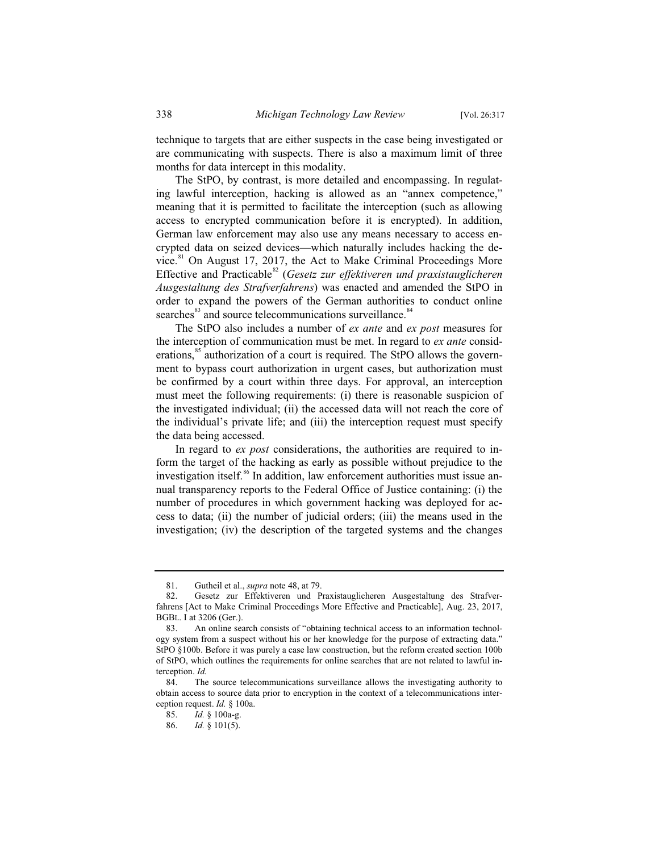technique to targets that are either suspects in the case being investigated or are communicating with suspects. There is also a maximum limit of three months for data intercept in this modality.

The StPO, by contrast, is more detailed and encompassing. In regulating lawful interception, hacking is allowed as an "annex competence," meaning that it is permitted to facilitate the interception (such as allowing access to encrypted communication before it is encrypted). In addition, German law enforcement may also use any means necessary to access encrypted data on seized devices—which naturally includes hacking the device. $81$  On August 17, 2017, the Act to Make Criminal Proceedings More Effective and Practicable<sup>82</sup> (*Gesetz zur effektiveren und praxistauglicheren Ausgestaltung des Strafverfahrens*) was enacted and amended the StPO in order to expand the powers of the German authorities to conduct online searches<sup>83</sup> and source telecommunications surveillance.<sup>84</sup>

The StPO also includes a number of *ex ante* and *ex post* measures for the interception of communication must be met. In regard to *ex ante* considerations,<sup>85</sup> authorization of a court is required. The StPO allows the government to bypass court authorization in urgent cases, but authorization must be confirmed by a court within three days. For approval, an interception must meet the following requirements: (i) there is reasonable suspicion of the investigated individual; (ii) the accessed data will not reach the core of the individual's private life; and (iii) the interception request must specify the data being accessed.

In regard to *ex post* considerations, the authorities are required to inform the target of the hacking as early as possible without prejudice to the investigation itself.<sup>86</sup> In addition, law enforcement authorities must issue annual transparency reports to the Federal Office of Justice containing: (i) the number of procedures in which government hacking was deployed for access to data; (ii) the number of judicial orders; (iii) the means used in the investigation; (iv) the description of the targeted systems and the changes

<sup>81.</sup> Gutheil et al., *supra* note 48, at 79.

<sup>82.</sup> Gesetz zur Effektiveren und Praxistauglicheren Ausgestaltung des Strafverfahrens [Act to Make Criminal Proceedings More Effective and Practicable], Aug. 23, 2017, BGBL. I at 3206 (Ger.).

<sup>83.</sup> An online search consists of "obtaining technical access to an information technology system from a suspect without his or her knowledge for the purpose of extracting data." StPO §100b. Before it was purely a case law construction, but the reform created section 100b of StPO, which outlines the requirements for online searches that are not related to lawful interception. *Id.*

The source telecommunications surveillance allows the investigating authority to obtain access to source data prior to encryption in the context of a telecommunications interception request. *Id.* § 100a.

<sup>85.</sup> *Id.* § 100a-g.

<sup>86.</sup> *Id.* § 101(5).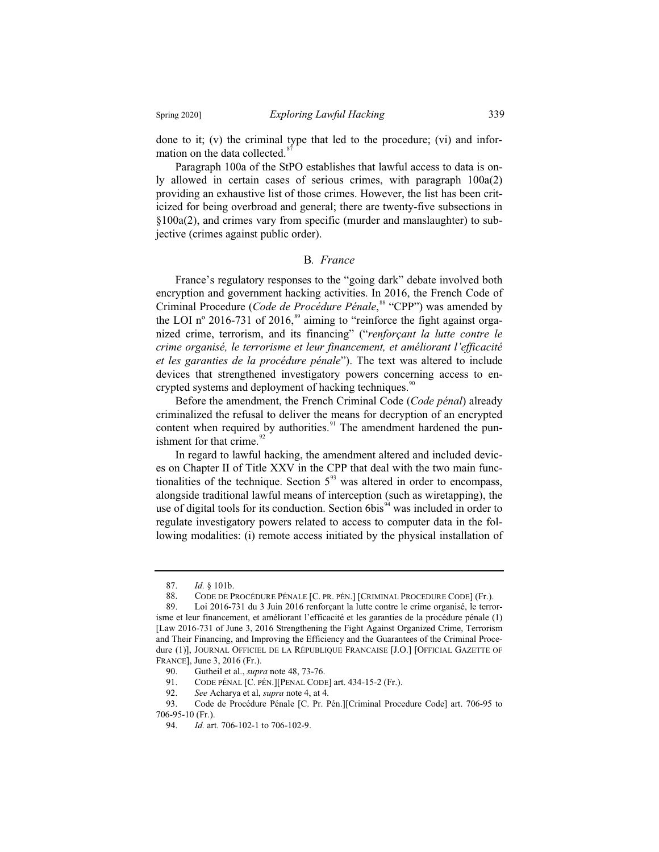done to it; (v) the criminal type that led to the procedure; (vi) and information on the data collected.

Paragraph 100a of the StPO establishes that lawful access to data is only allowed in certain cases of serious crimes, with paragraph 100a(2) providing an exhaustive list of those crimes. However, the list has been criticized for being overbroad and general; there are twenty-five subsections in §100a(2), and crimes vary from specific (murder and manslaughter) to subjective (crimes against public order).

# B*. France*

France's regulatory responses to the "going dark" debate involved both encryption and government hacking activities. In 2016, the French Code of Criminal Procedure (*Code de Procédure Pénale*, <sup>88</sup> "CPP") was amended by the LOI n° 2016-731 of 2016,<sup>89</sup> aiming to "reinforce the fight against organized crime, terrorism, and its financing" ("*renforçant la lutte contre le crime organisé, le terrorisme et leur financement, et améliorant l'efficacité et les garanties de la procédure pénale*"). The text was altered to include devices that strengthened investigatory powers concerning access to encrypted systems and deployment of hacking techniques.<sup>90</sup>

Before the amendment, the French Criminal Code (*Code pénal*) already criminalized the refusal to deliver the means for decryption of an encrypted content when required by authorities. $91$  The amendment hardened the punishment for that crime. $\frac{92}{2}$ 

In regard to lawful hacking, the amendment altered and included devices on Chapter II of Title XXV in the CPP that deal with the two main functionalities of the technique. Section  $5<sup>93</sup>$  was altered in order to encompass, alongside traditional lawful means of interception (such as wiretapping), the use of digital tools for its conduction. Section  $6bis<sup>94</sup>$  was included in order to regulate investigatory powers related to access to computer data in the following modalities: (i) remote access initiated by the physical installation of

<sup>87.</sup> *Id.* § 101b.

<sup>88.</sup> CODE DE PROCÉDURE PÉNALE [C. PR. PÉN.] [CRIMINAL PROCEDURE CODE] (Fr.).

<sup>89.</sup> Loi 2016-731 du 3 Juin 2016 renforçant la lutte contre le crime organisé, le terrorisme et leur financement, et améliorant l'efficacité et les garanties de la procédure pénale (1) [Law 2016-731 of June 3, 2016 Strengthening the Fight Against Organized Crime, Terrorism and Their Financing, and Improving the Efficiency and the Guarantees of the Criminal Procedure (1)], JOURNAL OFFICIEL DE LA RÉPUBLIQUE FRANCAISE [J.O.] [OFFICIAL GAZETTE OF FRANCE], June 3, 2016 (Fr.).

<sup>90.</sup> Gutheil et al., *supra* note 48, 73-76.<br>91. CODE PÉNAL [C. PÉN.][PENAL CODI

CODE PÉNAL [C. PÉN.][PENAL CODE] art. 434-15-2 (Fr.).

<sup>92.</sup> *See* Acharya et al, *supra* note 4, at 4.

<sup>93.</sup> Code de Procédure Pénale [C. Pr. Pén.][Criminal Procedure Code] art. 706-95 to 706-95-10 (Fr.).

<sup>94.</sup> *Id.* art. 706-102-1 to 706-102-9.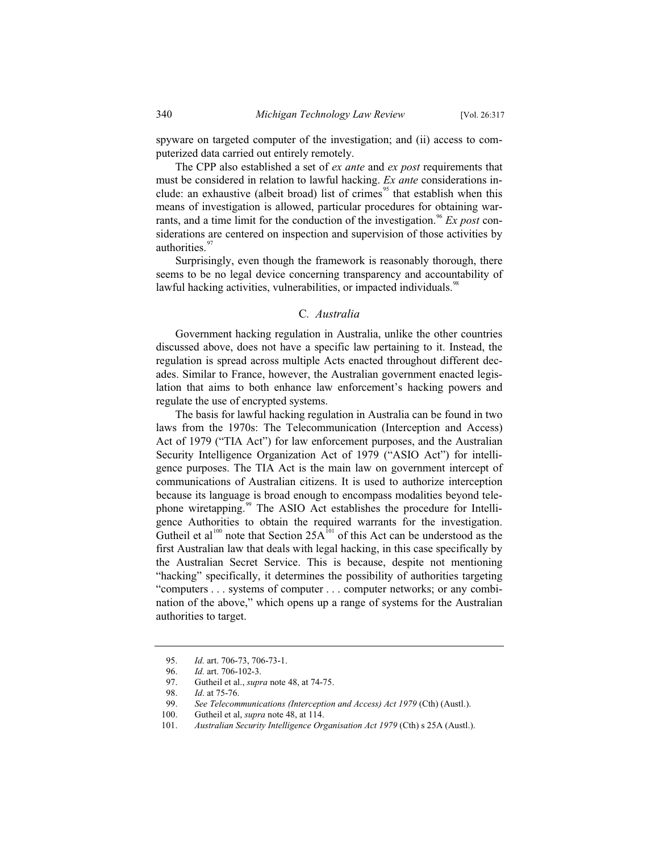spyware on targeted computer of the investigation; and (ii) access to computerized data carried out entirely remotely.

The CPP also established a set of *ex ante* and *ex post* requirements that must be considered in relation to lawful hacking. *Ex ante* considerations include: an exhaustive (albeit broad) list of crimes<sup>95</sup> that establish when this means of investigation is allowed, particular procedures for obtaining warrants, and a time limit for the conduction of the investigation.<sup>96</sup> *Ex post* considerations are centered on inspection and supervision of those activities by authorities.<sup>97</sup>

Surprisingly, even though the framework is reasonably thorough, there seems to be no legal device concerning transparency and accountability of lawful hacking activities, vulnerabilities, or impacted individuals.<sup>98</sup>

#### C*. Australia*

Government hacking regulation in Australia, unlike the other countries discussed above, does not have a specific law pertaining to it. Instead, the regulation is spread across multiple Acts enacted throughout different decades. Similar to France, however, the Australian government enacted legislation that aims to both enhance law enforcement's hacking powers and regulate the use of encrypted systems.

The basis for lawful hacking regulation in Australia can be found in two laws from the 1970s: The Telecommunication (Interception and Access) Act of 1979 ("TIA Act") for law enforcement purposes, and the Australian Security Intelligence Organization Act of 1979 ("ASIO Act") for intelligence purposes. The TIA Act is the main law on government intercept of communications of Australian citizens. It is used to authorize interception because its language is broad enough to encompass modalities beyond telephone wiretapping.<sup>99</sup> The ASIO Act establishes the procedure for Intelligence Authorities to obtain the required warrants for the investigation. Gutheil et al<sup>100</sup> note that Section  $25A^{101}$  of this Act can be understood as the first Australian law that deals with legal hacking, in this case specifically by the Australian Secret Service. This is because, despite not mentioning "hacking" specifically, it determines the possibility of authorities targeting "computers . . . systems of computer . . . computer networks; or any combination of the above," which opens up a range of systems for the Australian authorities to target.

<sup>95.</sup> *Id.* art. 706-73, 706-73-1.

<sup>96.</sup> *Id.* art. 706-102-3.<br>97. Gutheil et al., *supr* 

<sup>97.</sup> Gutheil et al., *supra* note 48, at 74-75.

<sup>98.</sup> *Id*. at 75-76.

<sup>99.</sup> *See Telecommunications (Interception and Access) Act 1979* (Cth) (Austl.).<br>100. Gutheil et al, *supra* note 48, at 114.

Gutheil et al, *supra* note 48, at 114.

<sup>101.</sup> *Australian Security Intelligence Organisation Act 1979* (Cth) s 25A (Austl.).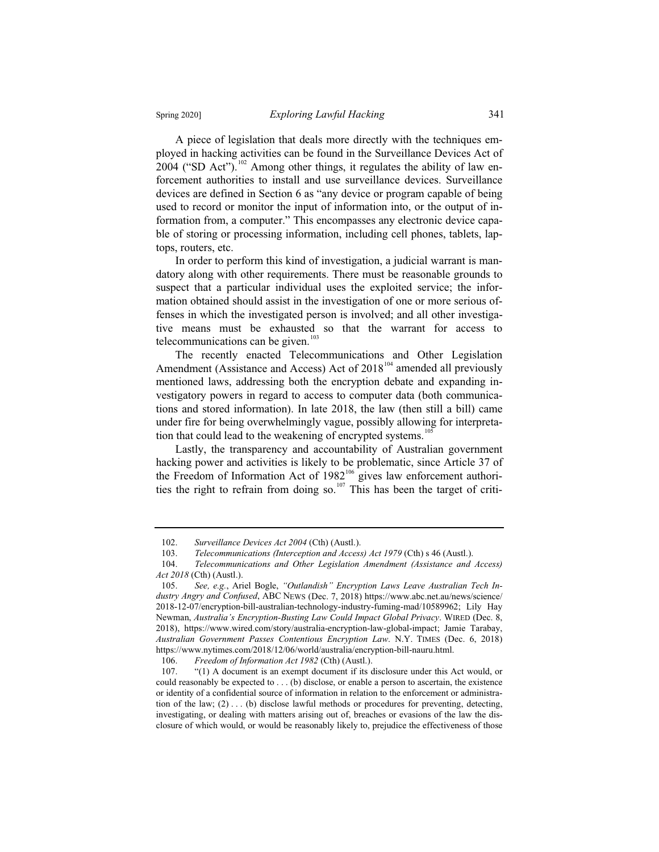A piece of legislation that deals more directly with the techniques employed in hacking activities can be found in the Surveillance Devices Act of 2004 ("SD Act").<sup>102</sup> Among other things, it regulates the ability of law enforcement authorities to install and use surveillance devices. Surveillance devices are defined in Section 6 as "any device or program capable of being used to record or monitor the input of information into, or the output of information from, a computer." This encompasses any electronic device capable of storing or processing information, including cell phones, tablets, laptops, routers, etc.

In order to perform this kind of investigation, a judicial warrant is mandatory along with other requirements. There must be reasonable grounds to suspect that a particular individual uses the exploited service; the information obtained should assist in the investigation of one or more serious offenses in which the investigated person is involved; and all other investigative means must be exhausted so that the warrant for access to telecommunications can be given.<sup>103</sup>

The recently enacted Telecommunications and Other Legislation Amendment (Assistance and Access) Act of  $2018^{104}$  amended all previously mentioned laws, addressing both the encryption debate and expanding investigatory powers in regard to access to computer data (both communications and stored information). In late 2018, the law (then still a bill) came under fire for being overwhelmingly vague, possibly allowing for interpretation that could lead to the weakening of encrypted systems.<sup>105</sup>

Lastly, the transparency and accountability of Australian government hacking power and activities is likely to be problematic, since Article 37 of the Freedom of Information Act of  $1982<sup>106</sup>$  gives law enforcement authorities the right to refrain from doing so.<sup>107</sup> This has been the target of criti-

<sup>102.</sup> *Surveillance Devices Act 2004* (Cth) (Austl.).

<sup>103.</sup> *Telecommunications (Interception and Access) Act 1979* (Cth) s 46 (Austl.).

<sup>104.</sup> *Telecommunications and Other Legislation Amendment (Assistance and Access) Act 2018* (Cth) (Austl.).

<sup>105.</sup> *See, e.g.*, Ariel Bogle, *"Outlandish" Encryption Laws Leave Australian Tech Industry Angry and Confused*, ABC NEWS (Dec. 7, 2018) https://www.abc.net.au/news/science/ 2018-12-07/encryption-bill-australian-technology-industry-fuming-mad/10589962; Lily Hay Newman, *Australia's Encryption-Busting Law Could Impact Global Privacy*. WIRED (Dec. 8, 2018), https://www.wired.com/story/australia-encryption-law-global-impact; Jamie Tarabay, *Australian Government Passes Contentious Encryption Law*. N.Y. TIMES (Dec. 6, 2018) https://www.nytimes.com/2018/12/06/world/australia/encryption-bill-nauru.html.

<sup>106.</sup> *Freedom of Information Act 1982* (Cth) (Austl.).

<sup>107. &</sup>quot;(1) A document is an exempt document if its disclosure under this Act would, or could reasonably be expected to . . . (b) disclose, or enable a person to ascertain, the existence or identity of a confidential source of information in relation to the enforcement or administration of the law; (2) . . . (b) disclose lawful methods or procedures for preventing, detecting, investigating, or dealing with matters arising out of, breaches or evasions of the law the disclosure of which would, or would be reasonably likely to, prejudice the effectiveness of those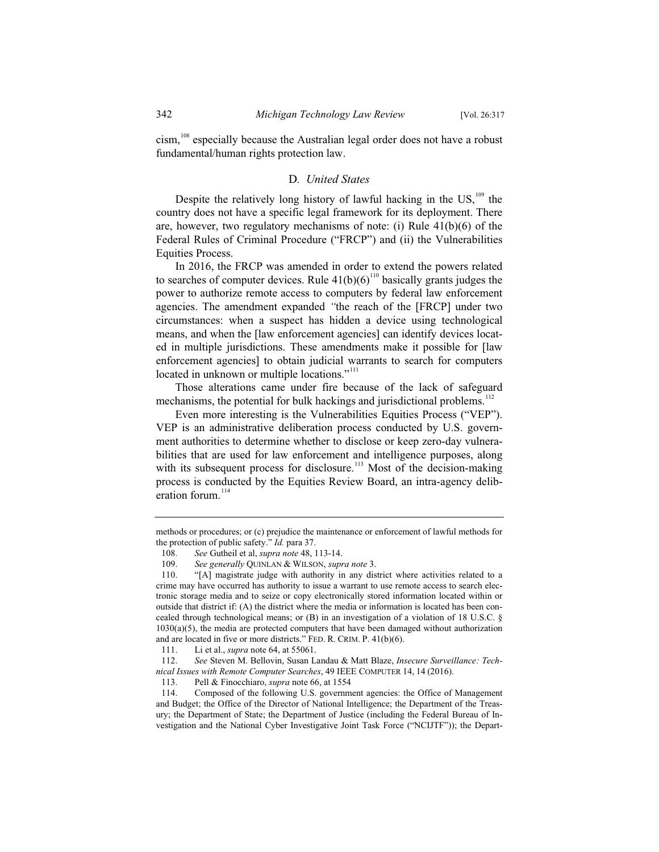cism,<sup>108</sup> especially because the Australian legal order does not have a robust fundamental/human rights protection law.

#### D*. United States*

Despite the relatively long history of lawful hacking in the  $US$ ,<sup>109</sup>, the country does not have a specific legal framework for its deployment. There are, however, two regulatory mechanisms of note: (i) Rule 41(b)(6) of the Federal Rules of Criminal Procedure ("FRCP") and (ii) the Vulnerabilities Equities Process.

In 2016, the FRCP was amended in order to extend the powers related to searches of computer devices. Rule  $41(b)(6)^{110}$  basically grants judges the power to authorize remote access to computers by federal law enforcement agencies. The amendment expanded *"*the reach of the [FRCP] under two circumstances: when a suspect has hidden a device using technological means, and when the [law enforcement agencies] can identify devices located in multiple jurisdictions. These amendments make it possible for [law enforcement agencies] to obtain judicial warrants to search for computers located in unknown or multiple locations."<sup>111</sup>

Those alterations came under fire because of the lack of safeguard mechanisms, the potential for bulk hackings and jurisdictional problems.<sup>112</sup>

Even more interesting is the Vulnerabilities Equities Process ("VEP"). VEP is an administrative deliberation process conducted by U.S. government authorities to determine whether to disclose or keep zero-day vulnerabilities that are used for law enforcement and intelligence purposes, along with its subsequent process for disclosure.<sup>113</sup> Most of the decision-making process is conducted by the Equities Review Board, an intra-agency deliberation forum.<sup>114</sup>

methods or procedures; or (c) prejudice the maintenance or enforcement of lawful methods for the protection of public safety." *Id.* para 37.

<sup>108.</sup> *See* Gutheil et al, *supra note* 48, 113-14.

<sup>109.</sup> *See generally* QUINLAN & WILSON, *supra note* 3.

<sup>110. &</sup>quot;[A] magistrate judge with authority in any district where activities related to a crime may have occurred has authority to issue a warrant to use remote access to search electronic storage media and to seize or copy electronically stored information located within or outside that district if: (A) the district where the media or information is located has been concealed through technological means; or  $(B)$  in an investigation of a violation of 18 U.S.C. § 1030(a)(5), the media are protected computers that have been damaged without authorization and are located in five or more districts." FED. R. CRIM. P. 41(b)(6).

<sup>111.</sup> Li et al., *supra* note 64, at 55061.

<sup>112.</sup> *See* Steven M. Bellovin, Susan Landau & Matt Blaze, *Insecure Surveillance: Technical Issues with Remote Computer Searches*, 49 IEEE COMPUTER 14, 14 (2016).

Pell & Finocchiaro, *supra* note 66, at 1554

<sup>114.</sup> Composed of the following U.S. government agencies: the Office of Management and Budget; the Office of the Director of National Intelligence; the Department of the Treasury; the Department of State; the Department of Justice (including the Federal Bureau of Investigation and the National Cyber Investigative Joint Task Force ("NCIJTF")); the Depart-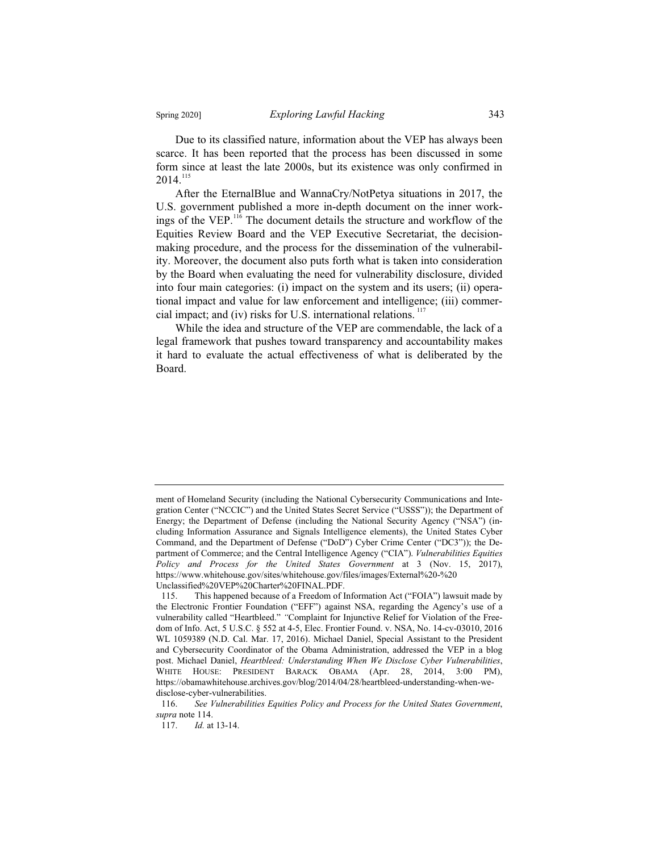Due to its classified nature, information about the VEP has always been scarce. It has been reported that the process has been discussed in some form since at least the late 2000s, but its existence was only confirmed in  $2014.<sup>115</sup>$ 

After the EternalBlue and WannaCry/NotPetya situations in 2017, the U.S. government published a more in-depth document on the inner workings of the VEP.<sup>116</sup> The document details the structure and workflow of the Equities Review Board and the VEP Executive Secretariat, the decisionmaking procedure, and the process for the dissemination of the vulnerability. Moreover, the document also puts forth what is taken into consideration by the Board when evaluating the need for vulnerability disclosure, divided into four main categories: (i) impact on the system and its users; (ii) operational impact and value for law enforcement and intelligence; (iii) commercial impact; and (iv) risks for U.S. international relations.<sup>117</sup>

While the idea and structure of the VEP are commendable, the lack of a legal framework that pushes toward transparency and accountability makes it hard to evaluate the actual effectiveness of what is deliberated by the Board.

ment of Homeland Security (including the National Cybersecurity Communications and Integration Center ("NCCIC") and the United States Secret Service ("USSS")); the Department of Energy; the Department of Defense (including the National Security Agency ("NSA") (including Information Assurance and Signals Intelligence elements), the United States Cyber Command, and the Department of Defense ("DoD") Cyber Crime Center ("DC3")); the Department of Commerce; and the Central Intelligence Agency ("CIA"). *Vulnerabilities Equities Policy and Process for the United States Government* at 3 (Nov. 15, 2017), https://www.whitehouse.gov/sites/whitehouse.gov/files/images/External%20-%20 Unclassified%20VEP%20Charter%20FINAL.PDF.

<sup>115.</sup> This happened because of a Freedom of Information Act ("FOIA") lawsuit made by the Electronic Frontier Foundation ("EFF") against NSA, regarding the Agency's use of a vulnerability called "Heartbleed." *"*Complaint for Injunctive Relief for Violation of the Freedom of Info. Act, 5 U.S.C. § 552 at 4-5, Elec. Frontier Found. v. NSA, No. 14-cv-03010, 2016 WL 1059389 (N.D. Cal. Mar. 17, 2016). Michael Daniel, Special Assistant to the President and Cybersecurity Coordinator of the Obama Administration, addressed the VEP in a blog post. Michael Daniel, *Heartbleed: Understanding When We Disclose Cyber Vulnerabilities*, WHITE HOUSE: PRESIDENT BARACK OBAMA (Apr. 28, 2014, 3:00 PM), https://obamawhitehouse.archives.gov/blog/2014/04/28/heartbleed-understanding-when-wedisclose-cyber-vulnerabilities.

<sup>116.</sup> *See Vulnerabilities Equities Policy and Process for the United States Government*, *supra* note 114.

<sup>117.</sup> *Id.* at 13-14.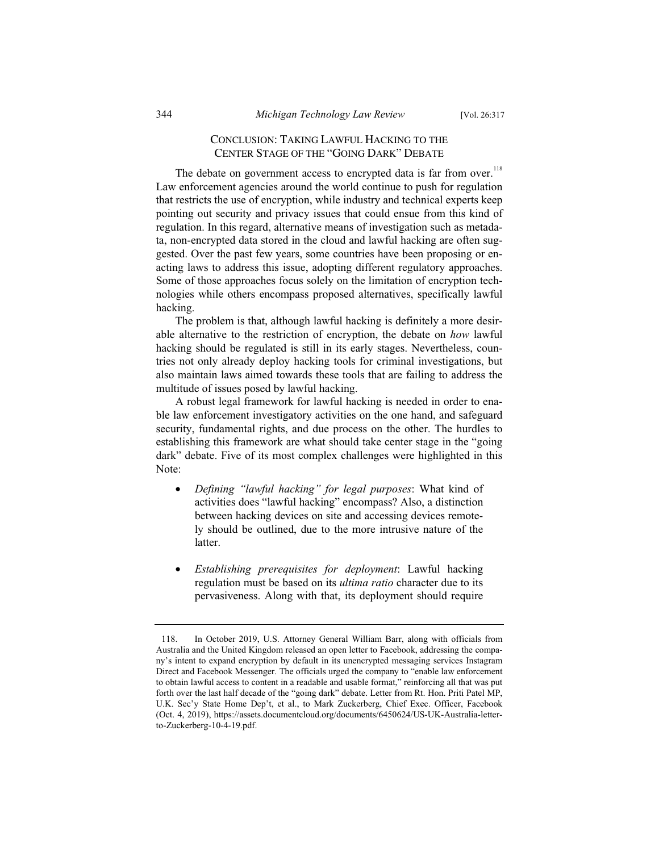# CONCLUSION: TAKING LAWFUL HACKING TO THE CENTER STAGE OF THE "GOING DARK" DEBATE

The debate on government access to encrypted data is far from over.<sup>118</sup> Law enforcement agencies around the world continue to push for regulation that restricts the use of encryption, while industry and technical experts keep pointing out security and privacy issues that could ensue from this kind of regulation. In this regard, alternative means of investigation such as metadata, non-encrypted data stored in the cloud and lawful hacking are often suggested. Over the past few years, some countries have been proposing or enacting laws to address this issue, adopting different regulatory approaches. Some of those approaches focus solely on the limitation of encryption technologies while others encompass proposed alternatives, specifically lawful hacking.

The problem is that, although lawful hacking is definitely a more desirable alternative to the restriction of encryption, the debate on *how* lawful hacking should be regulated is still in its early stages. Nevertheless, countries not only already deploy hacking tools for criminal investigations, but also maintain laws aimed towards these tools that are failing to address the multitude of issues posed by lawful hacking.

A robust legal framework for lawful hacking is needed in order to enable law enforcement investigatory activities on the one hand, and safeguard security, fundamental rights, and due process on the other. The hurdles to establishing this framework are what should take center stage in the "going dark" debate. Five of its most complex challenges were highlighted in this Note:

- *Defining "lawful hacking" for legal purposes*: What kind of activities does "lawful hacking" encompass? Also, a distinction between hacking devices on site and accessing devices remotely should be outlined, due to the more intrusive nature of the latter.
- *Establishing prerequisites for deployment*: Lawful hacking regulation must be based on its *ultima ratio* character due to its pervasiveness. Along with that, its deployment should require

<sup>118.</sup> In October 2019, U.S. Attorney General William Barr, along with officials from Australia and the United Kingdom released an open letter to Facebook, addressing the company's intent to expand encryption by default in its unencrypted messaging services Instagram Direct and Facebook Messenger. The officials urged the company to "enable law enforcement to obtain lawful access to content in a readable and usable format," reinforcing all that was put forth over the last half decade of the "going dark" debate. Letter from Rt. Hon. Priti Patel MP, U.K. Sec'y State Home Dep't, et al., to Mark Zuckerberg, Chief Exec. Officer, Facebook (Oct. 4, 2019), https://assets.documentcloud.org/documents/6450624/US-UK-Australia-letterto-Zuckerberg-10-4-19.pdf.